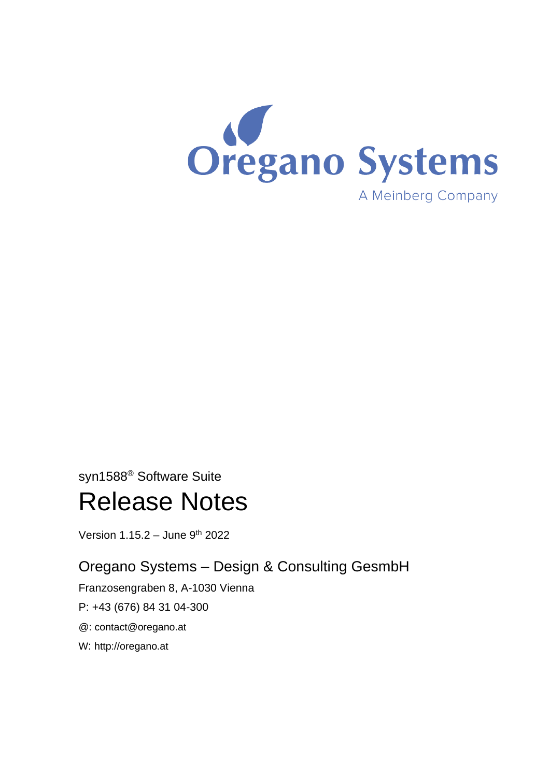

# syn1588® Software Suite Release Notes

Version 1.15.2 - June 9<sup>th</sup> 2022

# Oregano Systems – Design & Consulting GesmbH

Franzosengraben 8, A-1030 Vienna

P: +43 (676) 84 31 04-300

@: [contact@oregano.at](mailto:contact@oregano.at)

W: [http://oregano.at](http://www.oregano.at/)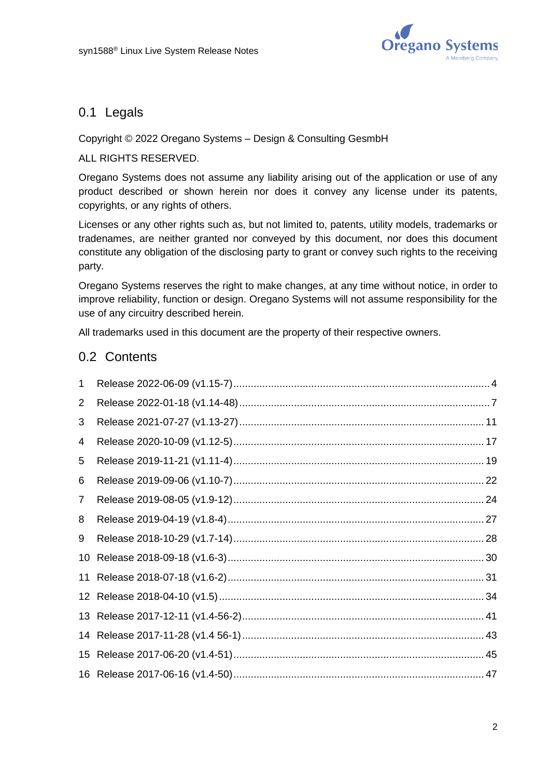

## 0.1 Legals

#### Copyright © 2022 Oregano Systems – Design & Consulting GesmbH

#### ALL RIGHTS RESERVED.

Oregano Systems does not assume any liability arising out of the application or use of any product described or shown herein nor does it convey any license under its patents, copyrights, or any rights of others.

Licenses or any other rights such as, but not limited to, patents, utility models, trademarks or tradenames, are neither granted nor conveyed by this document, nor does this document constitute any obligation of the disclosing party to grant or convey such rights to the receiving party.

Oregano Systems reserves the right to make changes, at any time without notice, in order to improve reliability, function or design. Oregano Systems will not assume responsibility for the use of any circuitry described herein.

All trademarks used in this document are the property of their respective owners.

#### 0.2 Contents

| 1  |  |
|----|--|
| 2  |  |
| 3  |  |
| 4  |  |
| 5  |  |
| 6  |  |
| 7  |  |
| 8  |  |
| 9  |  |
| 10 |  |
|    |  |
|    |  |
|    |  |
|    |  |
|    |  |
|    |  |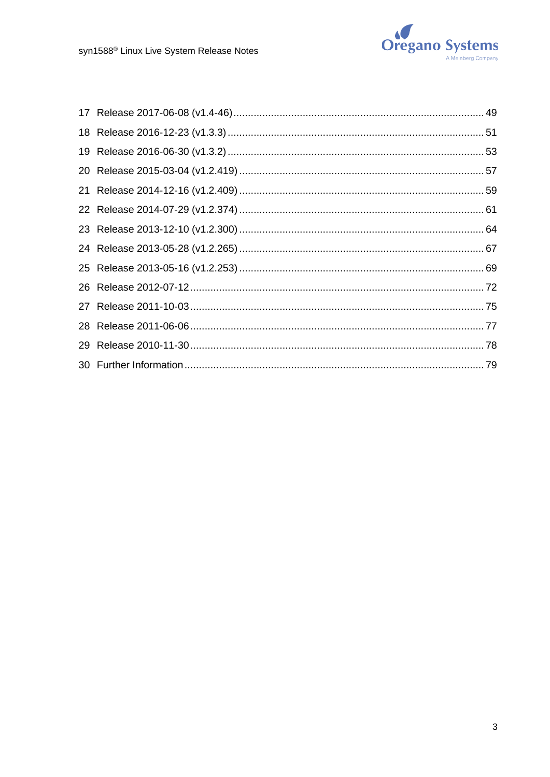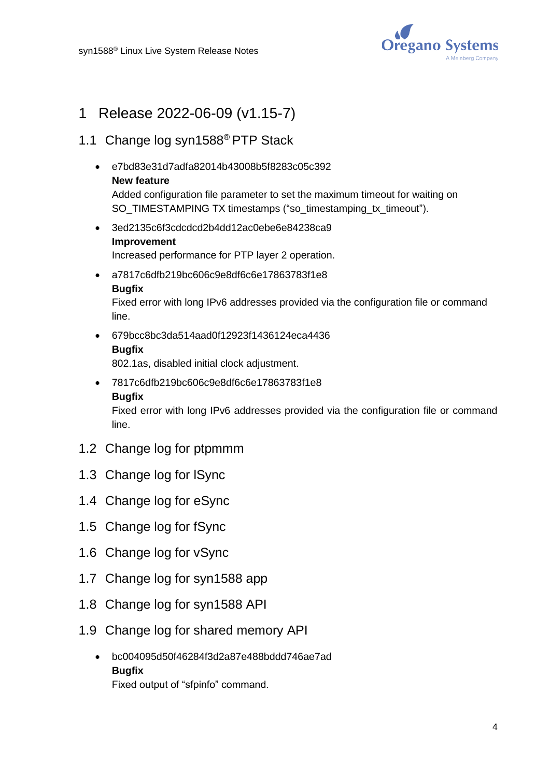

# <span id="page-3-0"></span>1 Release 2022-06-09 (v1.15-7)

## 1.1 Change log syn1588® PTP Stack

• e7bd83e31d7adfa82014b43008b5f8283c05c392 **New feature**

Added configuration file parameter to set the maximum timeout for waiting on SO\_TIMESTAMPING TX timestamps ("so\_timestamping\_tx\_timeout").

- 3ed2135c6f3cdcdcd2b4dd12ac0ebe6e84238ca9 **Improvement** Increased performance for PTP layer 2 operation.
- a7817c6dfb219bc606c9e8df6c6e17863783f1e8 **Bugfix**

Fixed error with long IPv6 addresses provided via the configuration file or command line.

• 679bcc8bc3da514aad0f12923f1436124eca4436 **Bugfix**

802.1as, disabled initial clock adjustment.

• 7817c6dfb219bc606c9e8df6c6e17863783f1e8 **Bugfix**

Fixed error with long IPv6 addresses provided via the configuration file or command line.

- 1.2 Change log for ptpmmm
- 1.3 Change log for lSync
- 1.4 Change log for eSync
- 1.5 Change log for fSync
- 1.6 Change log for vSync
- 1.7 Change log for syn1588 app
- 1.8 Change log for syn1588 API
- 1.9 Change log for shared memory API
	- bc004095d50f46284f3d2a87e488bddd746ae7ad **Bugfix** Fixed output of "sfpinfo" command.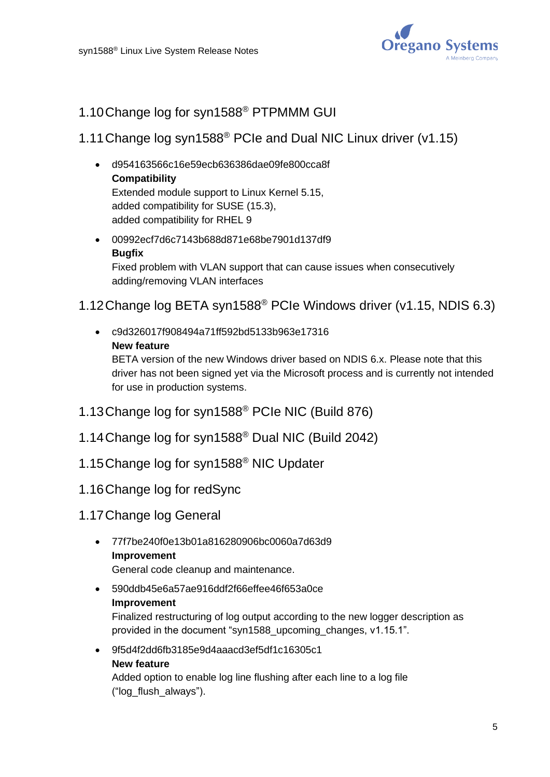

# 1.10Change log for syn1588® PTPMMM GUI

## 1.11Change log syn1588® PCIe and Dual NIC Linux driver (v1.15)

- d954163566c16e59ecb636386dae09fe800cca8f **Compatibility** Extended module support to Linux Kernel 5.15, added compatibility for SUSE (15.3), added compatibility for RHEL 9
- 00992ecf7d6c7143b688d871e68be7901d137df9 **Bugfix** Fixed problem with VLAN support that can cause issues when consecutively adding/removing VLAN interfaces

# 1.12Change log BETA syn1588® PCIe Windows driver (v1.15, NDIS 6.3)

• c9d326017f908494a71ff592bd5133b963e17316 **New feature**

BETA version of the new Windows driver based on NDIS 6.x. Please note that this driver has not been signed yet via the Microsoft process and is currently not intended for use in production systems.

- 1.13Change log for syn1588® PCIe NIC (Build 876)
- 1.14Change log for syn1588® Dual NIC (Build 2042)
- 1.15Change log for syn1588® NIC Updater
- 1.16Change log for redSync
- 1.17Change log General
	- 77f7be240f0e13b01a816280906bc0060a7d63d9 **Improvement**

General code cleanup and maintenance.

• 590ddb45e6a57ae916ddf2f66effee46f653a0ce **Improvement**

Finalized restructuring of log output according to the new logger description as provided in the document "syn1588\_upcoming\_changes, v1.15.1".

• 9f5d4f2dd6fb3185e9d4aaacd3ef5df1c16305c1

#### **New feature**

Added option to enable log line flushing after each line to a log file ("log\_flush\_always").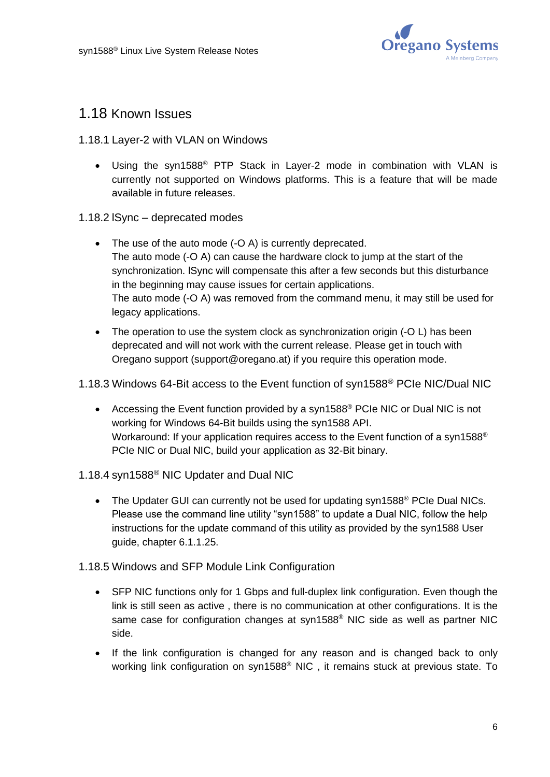

## 1.18 Known Issues

#### 1.18.1 Layer-2 with VLAN on Windows

- Using the syn1588<sup>®</sup> PTP Stack in Layer-2 mode in combination with VLAN is currently not supported on Windows platforms. This is a feature that will be made available in future releases.
- 1.18.2 lSync deprecated modes
	- The use of the auto mode (-O A) is currently deprecated. The auto mode (-O A) can cause the hardware clock to jump at the start of the synchronization. lSync will compensate this after a few seconds but this disturbance in the beginning may cause issues for certain applications. The auto mode (-O A) was removed from the command menu, it may still be used for legacy applications.
	- The operation to use the system clock as synchronization origin (-O L) has been deprecated and will not work with the current release. Please get in touch with Oregano support (support@oregano.at) if you require this operation mode.

#### 1.18.3 Windows 64-Bit access to the Event function of syn1588® PCIe NIC/Dual NIC

• Accessing the Event function provided by a syn1588<sup>®</sup> PCIe NIC or Dual NIC is not working for Windows 64-Bit builds using the syn1588 API. Workaround: If your application requires access to the Event function of a syn1588<sup>®</sup> PCIe NIC or Dual NIC, build your application as 32-Bit binary.

#### 1.18.4 syn1588® NIC Updater and Dual NIC

• The Updater GUI can currently not be used for updating syn1588<sup>®</sup> PCIe Dual NICs. Please use the command line utility "syn1588" to update a Dual NIC, follow the help instructions for the update command of this utility as provided by the syn1588 User guide, chapter 6.1.1.25.

#### 1.18.5 Windows and SFP Module Link Configuration

- SFP NIC functions only for 1 Gbps and full-duplex link configuration. Even though the link is still seen as active , there is no communication at other configurations. It is the same case for configuration changes at syn1588® NIC side as well as partner NIC side.
- If the link configuration is changed for any reason and is changed back to only working link configuration on syn1588® NIC , it remains stuck at previous state. To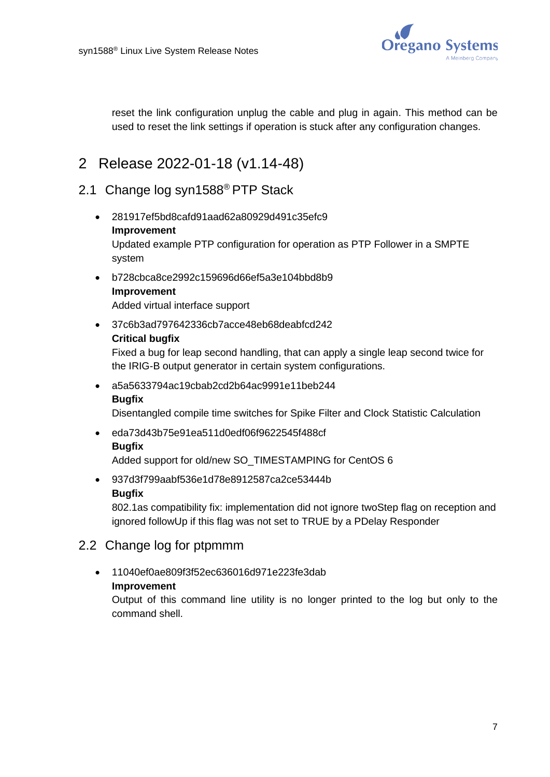

reset the link configuration unplug the cable and plug in again. This method can be used to reset the link settings if operation is stuck after any configuration changes.

# <span id="page-6-0"></span>2 Release 2022-01-18 (v1.14-48)

## 2.1 Change log syn1588® PTP Stack

- 281917ef5bd8cafd91aad62a80929d491c35efc9 **Improvement** Updated example PTP configuration for operation as PTP Follower in a SMPTE system
- b728cbca8ce2992c159696d66ef5a3e104bbd8b9 **Improvement** Added virtual interface support
- 37c6b3ad797642336cb7acce48eb68deabfcd242

#### **Critical bugfix**

Fixed a bug for leap second handling, that can apply a single leap second twice for the IRIG-B output generator in certain system configurations.

• a5a5633794ac19cbab2cd2b64ac9991e11beb244

#### **Bugfix**

Disentangled compile time switches for Spike Filter and Clock Statistic Calculation

• eda73d43b75e91ea511d0edf06f9622545f488cf **Bugfix**

Added support for old/new SO\_TIMESTAMPING for CentOS 6

• 937d3f799aabf536e1d78e8912587ca2ce53444b **Bugfix**

802.1as compatibility fix: implementation did not ignore twoStep flag on reception and ignored followUp if this flag was not set to TRUE by a PDelay Responder

- 2.2 Change log for ptpmmm
	- 11040ef0ae809f3f52ec636016d971e223fe3dab
		- **Improvement**

Output of this command line utility is no longer printed to the log but only to the command shell.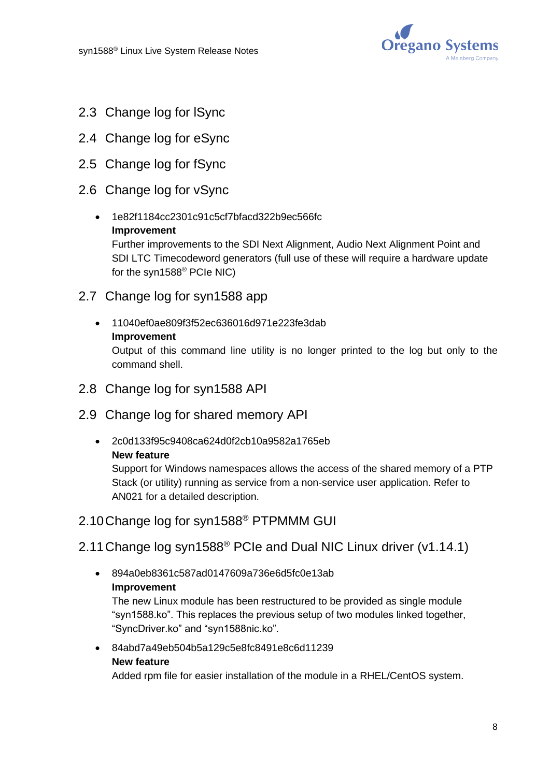

- 2.3 Change log for lSync
- 2.4 Change log for eSync
- 2.5 Change log for fSync
- 2.6 Change log for vSync
	- 1e82f1184cc2301c91c5cf7bfacd322b9ec566fc **Improvement** Further improvements to the SDI Next Alignment, Audio Next Alignment Point and SDI LTC Timecodeword generators (full use of these will require a hardware update for the syn1588® PCIe NIC)
- 2.7 Change log for syn1588 app
	- 11040ef0ae809f3f52ec636016d971e223fe3dab **Improvement** Output of this command line utility is no longer printed to the log but only to the command shell.
- 2.8 Change log for syn1588 API
- 2.9 Change log for shared memory API
	- 2c0d133f95c9408ca624d0f2cb10a9582a1765eb **New feature**

Support for Windows namespaces allows the access of the shared memory of a PTP Stack (or utility) running as service from a non-service user application. Refer to AN021 for a detailed description.

2.10Change log for syn1588® PTPMMM GUI

# 2.11Change log syn1588® PCIe and Dual NIC Linux driver (v1.14.1)

• 894a0eb8361c587ad0147609a736e6d5fc0e13ab **Improvement**

The new Linux module has been restructured to be provided as single module "syn1588.ko". This replaces the previous setup of two modules linked together, "SyncDriver.ko" and "syn1588nic.ko".

• 84abd7a49eb504b5a129c5e8fc8491e8c6d11239

#### **New feature**

Added rpm file for easier installation of the module in a RHEL/CentOS system.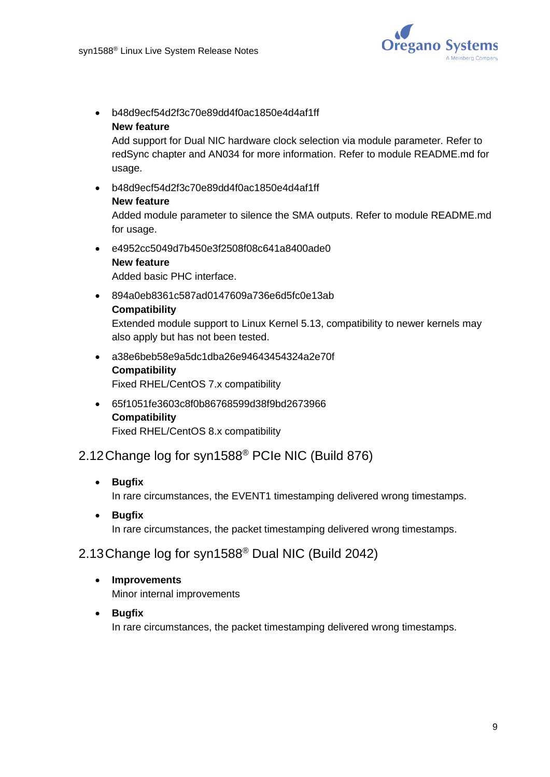

• b48d9ecf54d2f3c70e89dd4f0ac1850e4d4af1ff **New feature**

Add support for Dual NIC hardware clock selection via module parameter. Refer to redSync chapter and AN034 for more information. Refer to module README.md for usage.

• b48d9ecf54d2f3c70e89dd4f0ac1850e4d4af1ff **New feature**

Added module parameter to silence the SMA outputs. Refer to module README.md for usage.

• e4952cc5049d7b450e3f2508f08c641a8400ade0 **New feature**

Added basic PHC interface.

• 894a0eb8361c587ad0147609a736e6d5fc0e13ab **Compatibility**

Extended module support to Linux Kernel 5.13, compatibility to newer kernels may also apply but has not been tested.

- a38e6beb58e9a5dc1dba26e94643454324a2e70f **Compatibility** Fixed RHEL/CentOS 7.x compatibility
- 65f1051fe3603c8f0b86768599d38f9bd2673966 **Compatibility** Fixed RHEL/CentOS 8.x compatibility

# 2.12Change log for syn1588® PCIe NIC (Build 876)

• **Bugfix**

In rare circumstances, the EVENT1 timestamping delivered wrong timestamps.

• **Bugfix** In rare circumstances, the packet timestamping delivered wrong timestamps.

## 2.13Change log for syn1588® Dual NIC (Build 2042)

- **Improvements** Minor internal improvements
- **Bugfix** In rare circumstances, the packet timestamping delivered wrong timestamps.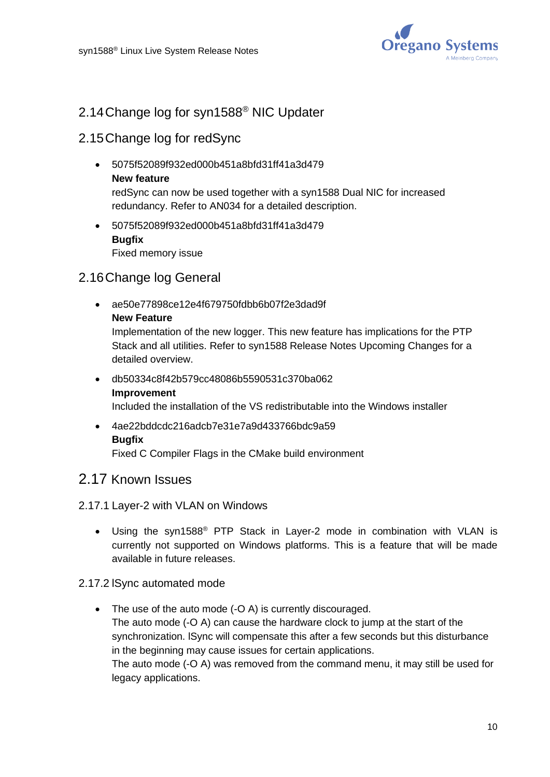

# 2.14Change log for syn1588® NIC Updater

## 2.15Change log for redSync

- 5075f52089f932ed000b451a8bfd31ff41a3d479 **New feature** redSync can now be used together with a syn1588 Dual NIC for increased redundancy. Refer to AN034 for a detailed description.
- 5075f52089f932ed000b451a8bfd31ff41a3d479 **Bugfix** Fixed memory issue

## 2.16Change log General

• ae50e77898ce12e4f679750fdbb6b07f2e3dad9f **New Feature**

Implementation of the new logger. This new feature has implications for the PTP Stack and all utilities. Refer to syn1588 Release Notes Upcoming Changes for a detailed overview.

- db50334c8f42b579cc48086b5590531c370ba062 **Improvement** Included the installation of the VS redistributable into the Windows installer
- 4ae22bddcdc216adcb7e31e7a9d433766bdc9a59 **Bugfix**

Fixed C Compiler Flags in the CMake build environment

## 2.17 Known Issues

#### 2.17.1 Layer-2 with VLAN on Windows

• Using the syn1588® PTP Stack in Layer-2 mode in combination with VLAN is currently not supported on Windows platforms. This is a feature that will be made available in future releases.

#### 2.17.2 lSync automated mode

• The use of the auto mode (-O A) is currently discouraged. The auto mode (-O A) can cause the hardware clock to jump at the start of the synchronization. lSync will compensate this after a few seconds but this disturbance in the beginning may cause issues for certain applications. The auto mode (-O A) was removed from the command menu, it may still be used for legacy applications.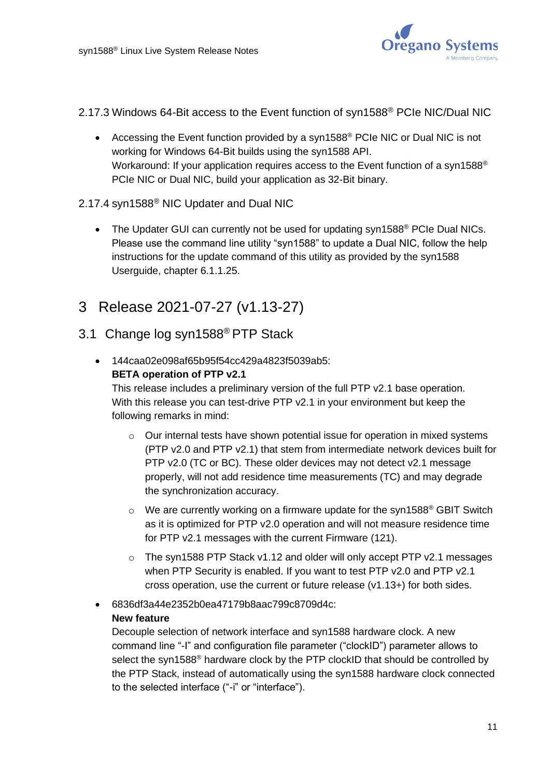

- 2.17.3 Windows 64-Bit access to the Event function of syn1588® PCIe NIC/Dual NIC
	- Accessing the Event function provided by a syn1588<sup>®</sup> PCIe NIC or Dual NIC is not working for Windows 64-Bit builds using the syn1588 API. Workaround: If your application requires access to the Event function of a syn1588<sup>®</sup> PCIe NIC or Dual NIC, build your application as 32-Bit binary.

#### 2.17.4 syn1588® NIC Updater and Dual NIC

- The Updater GUI can currently not be used for updating syn1588<sup>®</sup> PCIe Dual NICs. Please use the command line utility "syn1588" to update a Dual NIC, follow the help instructions for the update command of this utility as provided by the syn1588 Userguide, chapter 6.1.1.25.
- <span id="page-10-0"></span>3 Release 2021-07-27 (v1.13-27)
- 3.1 Change log syn1588® PTP Stack
	- 144caa02e098af65b95f54cc429a4823f5039ab5: **BETA operation of PTP v2.1**

This release includes a preliminary version of the full PTP v2.1 base operation. With this release you can test-drive PTP v2.1 in your environment but keep the following remarks in mind:

- $\circ$  Our internal tests have shown potential issue for operation in mixed systems (PTP v2.0 and PTP v2.1) that stem from intermediate network devices built for PTP v2.0 (TC or BC). These older devices may not detect v2.1 message properly, will not add residence time measurements (TC) and may degrade the synchronization accuracy.
- $\circ$  We are currently working on a firmware update for the syn1588<sup>®</sup> GBIT Switch as it is optimized for PTP v2.0 operation and will not measure residence time for PTP v2.1 messages with the current Firmware (121).
- o The syn1588 PTP Stack v1.12 and older will only accept PTP v2.1 messages when PTP Security is enabled. If you want to test PTP v2.0 and PTP v2.1 cross operation, use the current or future release (v1.13+) for both sides.

# • 6836df3a44e2352b0ea47179b8aac799c8709d4c: **New feature**

Decouple selection of network interface and syn1588 hardware clock. A new command line "-I" and configuration file parameter ("clockID") parameter allows to select the syn1588<sup>®</sup> hardware clock by the PTP clockID that should be controlled by the PTP Stack, instead of automatically using the syn1588 hardware clock connected to the selected interface ("-i" or "interface").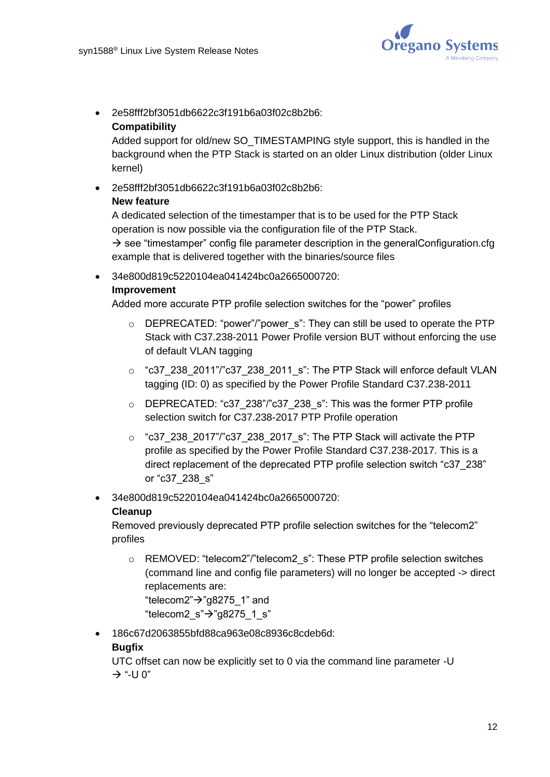

• 2e58fff2bf3051db6622c3f191b6a03f02c8b2b6:

#### **Compatibility**

Added support for old/new SO\_TIMESTAMPING style support, this is handled in the background when the PTP Stack is started on an older Linux distribution (older Linux kernel)

#### • 2e58fff2bf3051db6622c3f191b6a03f02c8b2b6:

#### **New feature**

A dedicated selection of the timestamper that is to be used for the PTP Stack operation is now possible via the configuration file of the PTP Stack.  $\rightarrow$  see "timestamper" config file parameter description in the generalConfiguration.cfg example that is delivered together with the binaries/source files

• 34e800d819c5220104ea041424bc0a2665000720:

#### **Improvement**

Added more accurate PTP profile selection switches for the "power" profiles

- $\circ$  DEPRECATED: "power"/"power s": They can still be used to operate the PTP Stack with C37.238-2011 Power Profile version BUT without enforcing the use of default VLAN tagging
- $\circ$  "c37\_238\_2011"/"c37\_238\_2011\_s": The PTP Stack will enforce default VLAN tagging (ID: 0) as specified by the Power Profile Standard C37.238-2011
- o DEPRECATED: "c37\_238"/"c37\_238\_s": This was the former PTP profile selection switch for C37.238-2017 PTP Profile operation
- $\circ$  "c37\_238\_2017"/"c37\_238\_2017\_s": The PTP Stack will activate the PTP profile as specified by the Power Profile Standard C37.238-2017. This is a direct replacement of the deprecated PTP profile selection switch "c37\_238" or "c37\_238\_s"
- 34e800d819c5220104ea041424bc0a2665000720:

#### **Cleanup**

Removed previously deprecated PTP profile selection switches for the "telecom2" profiles

o REMOVED: "telecom2"/"telecom2 s": These PTP profile selection switches (command line and config file parameters) will no longer be accepted -> direct replacements are:

"telecom2"→"g8275\_1" and "telecom2\_s" $\rightarrow$ "g8275\_1\_s"

• 186c67d2063855bfd88ca963e08c8936c8cdeb6d:

#### **Bugfix**

UTC offset can now be explicitly set to 0 via the command line parameter -U  $\rightarrow$  "-U 0"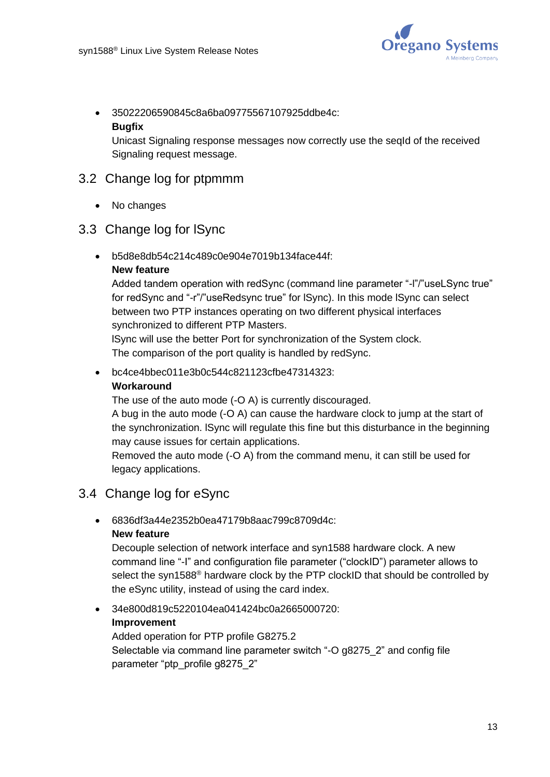

• 35022206590845c8a6ba09775567107925ddbe4c:

#### **Bugfix**

Unicast Signaling response messages now correctly use the seqId of the received Signaling request message.

## 3.2 Change log for ptpmmm

• No changes

## 3.3 Change log for lSync

• b5d8e8db54c214c489c0e904e7019b134face44f:

#### **New feature**

Added tandem operation with redSync (command line parameter "-l"/"useLSync true" for redSync and "-r"/"useRedsync true" for lSync). In this mode lSync can select between two PTP instances operating on two different physical interfaces synchronized to different PTP Masters.

lSync will use the better Port for synchronization of the System clock. The comparison of the port quality is handled by redSync.

• bc4ce4bbec011e3b0c544c821123cfbe47314323:

#### **Workaround**

The use of the auto mode (-O A) is currently discouraged.

A bug in the auto mode (-O A) can cause the hardware clock to jump at the start of the synchronization. lSync will regulate this fine but this disturbance in the beginning may cause issues for certain applications.

Removed the auto mode (-O A) from the command menu, it can still be used for legacy applications.

## 3.4 Change log for eSync

• 6836df3a44e2352b0ea47179b8aac799c8709d4c:

#### **New feature**

Decouple selection of network interface and syn1588 hardware clock. A new command line "-I" and configuration file parameter ("clockID") parameter allows to select the syn1588<sup>®</sup> hardware clock by the PTP clockID that should be controlled by the eSync utility, instead of using the card index.

## • 34e800d819c5220104ea041424bc0a2665000720: **Improvement**

Added operation for PTP profile G8275.2 Selectable via command line parameter switch "-O g8275\_2" and config file parameter "ptp\_profile g8275\_2"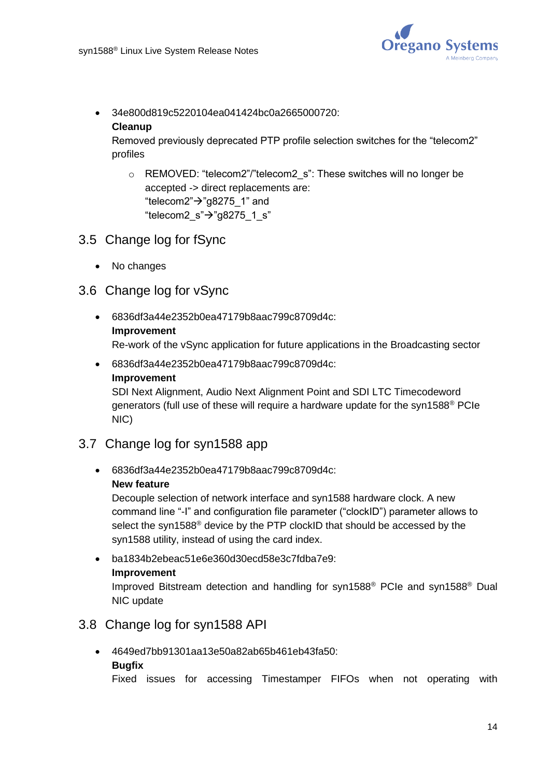

• 34e800d819c5220104ea041424bc0a2665000720: **Cleanup**

Removed previously deprecated PTP profile selection switches for the "telecom2" profiles

- o REMOVED: "telecom2"/"telecom2 s": These switches will no longer be accepted -> direct replacements are: "telecom2"→"g8275\_1" and "telecom2\_s" $\rightarrow$ "g8275\_1\_s"
- 3.5 Change log for fSync
	- No changes
- 3.6 Change log for vSync
	- 6836df3a44e2352b0ea47179b8aac799c8709d4c: **Improvement** Re-work of the vSync application for future applications in the Broadcasting sector
	- 6836df3a44e2352b0ea47179b8aac799c8709d4c: **Improvement**

SDI Next Alignment, Audio Next Alignment Point and SDI LTC Timecodeword generators (full use of these will require a hardware update for the syn1588® PCIe NIC)

## 3.7 Change log for syn1588 app

• 6836df3a44e2352b0ea47179b8aac799c8709d4c:

#### **New feature**

Decouple selection of network interface and syn1588 hardware clock. A new command line "-I" and configuration file parameter ("clockID") parameter allows to select the syn1588<sup>®</sup> device by the PTP clockID that should be accessed by the syn1588 utility, instead of using the card index.

• ba1834b2ebeac51e6e360d30ecd58e3c7fdba7e9: **Improvement**

Improved Bitstream detection and handling for syn1588® PCIe and syn1588® Dual NIC update

## 3.8 Change log for syn1588 API

- 4649ed7bb91301aa13e50a82ab65b461eb43fa50:
	- **Bugfix**

Fixed issues for accessing Timestamper FIFOs when not operating with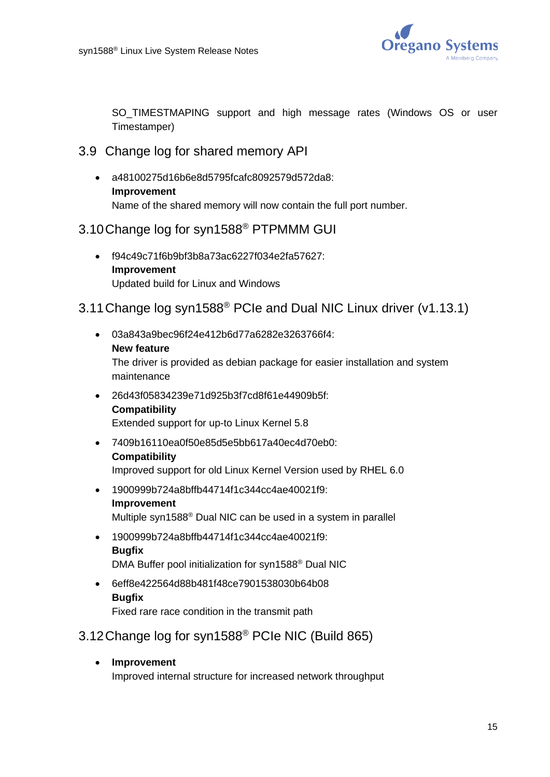

SO TIMESTMAPING support and high message rates (Windows OS or user Timestamper)

- 3.9 Change log for shared memory API
	- a48100275d16b6e8d5795fcafc8092579d572da8: **Improvement** Name of the shared memory will now contain the full port number.

## 3.10Change log for syn1588® PTPMMM GUI

• f94c49c71f6b9bf3b8a73ac6227f034e2fa57627: **Improvement** Updated build for Linux and Windows

## 3.11Change log syn1588® PCIe and Dual NIC Linux driver (v1.13.1)

- 03a843a9bec96f24e412b6d77a6282e3263766f4: **New feature** The driver is provided as debian package for easier installation and system maintenance • 26d43f05834239e71d925b3f7cd8f61e44909b5f:
- **Compatibility** Extended support for up-to Linux Kernel 5.8
- 7409b16110ea0f50e85d5e5bb617a40ec4d70eb0: **Compatibility** Improved support for old Linux Kernel Version used by RHEL 6.0
- 1900999b724a8bffb44714f1c344cc4ae40021f9: **Improvement** Multiple syn1588® Dual NIC can be used in a system in parallel
- 1900999b724a8bffb44714f1c344cc4ae40021f9: **Bugfix** DMA Buffer pool initialization for syn1588® Dual NIC
- 6eff8e422564d88b481f48ce7901538030b64b08 **Bugfix** Fixed rare race condition in the transmit path

3.12Change log for syn1588® PCIe NIC (Build 865)

• **Improvement** Improved internal structure for increased network throughput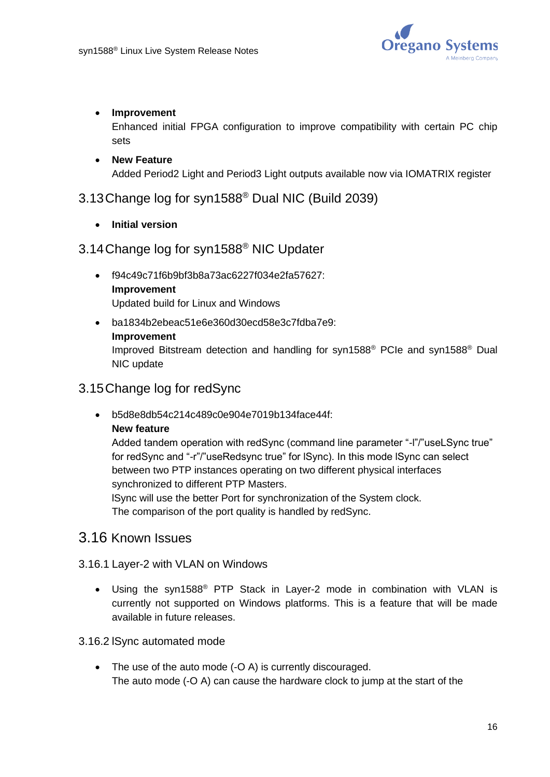

#### • **Improvement**

Enhanced initial FPGA configuration to improve compatibility with certain PC chip sets

#### • **New Feature** Added Period2 Light and Period3 Light outputs available now via IOMATRIX register

## 3.13Change log for syn1588® Dual NIC (Build 2039)

• **Initial version**

## 3.14Change log for syn1588® NIC Updater

- f94c49c71f6b9bf3b8a73ac6227f034e2fa57627: **Improvement** Updated build for Linux and Windows
- ba1834b2ebeac51e6e360d30ecd58e3c7fdba7e9: **Improvement** Improved Bitstream detection and handling for syn1588® PCIe and syn1588® Dual NIC update

## 3.15Change log for redSync

• b5d8e8db54c214c489c0e904e7019b134face44f:

#### **New feature**

Added tandem operation with redSync (command line parameter "-l"/"useLSync true" for redSync and "-r"/"useRedsync true" for lSync). In this mode lSync can select between two PTP instances operating on two different physical interfaces synchronized to different PTP Masters.

lSync will use the better Port for synchronization of the System clock. The comparison of the port quality is handled by redSync.

## 3.16 Known Issues

#### 3.16.1 Layer-2 with VLAN on Windows

- Using the syn1588® PTP Stack in Layer-2 mode in combination with VLAN is currently not supported on Windows platforms. This is a feature that will be made available in future releases.
- 3.16.2 lSync automated mode
	- The use of the auto mode (-O A) is currently discouraged. The auto mode (-O A) can cause the hardware clock to jump at the start of the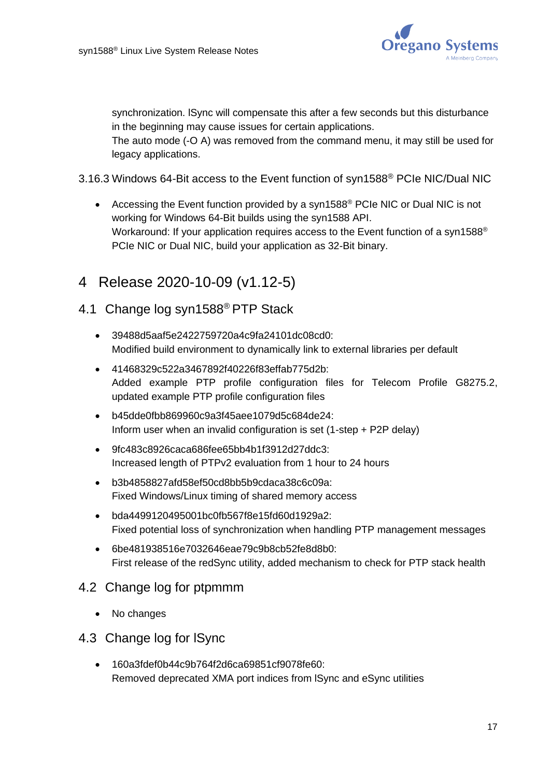

synchronization. lSync will compensate this after a few seconds but this disturbance in the beginning may cause issues for certain applications.

The auto mode (-O A) was removed from the command menu, it may still be used for legacy applications.

- 3.16.3 Windows 64-Bit access to the Event function of syn1588® PCIe NIC/Dual NIC
	- Accessing the Event function provided by a syn1588<sup>®</sup> PCIe NIC or Dual NIC is not working for Windows 64-Bit builds using the syn1588 API. Workaround: If your application requires access to the Event function of a syn1588<sup>®</sup> PCIe NIC or Dual NIC, build your application as 32-Bit binary.

# <span id="page-16-0"></span>4 Release 2020-10-09 (v1.12-5)

## 4.1 Change log syn1588® PTP Stack

- 39488d5aaf5e2422759720a4c9fa24101dc08cd0: Modified build environment to dynamically link to external libraries per default
- 41468329c522a3467892f40226f83effab775d2b: Added example PTP profile configuration files for Telecom Profile G8275.2, updated example PTP profile configuration files
- b45dde0fbb869960c9a3f45aee1079d5c684de24: Inform user when an invalid configuration is set (1-step + P2P delay)
- 9fc483c8926caca686fee65bb4b1f3912d27ddc3: Increased length of PTPv2 evaluation from 1 hour to 24 hours
- b3b4858827afd58ef50cd8bb5b9cdaca38c6c09a: Fixed Windows/Linux timing of shared memory access
- bda4499120495001bc0fb567f8e15fd60d1929a2: Fixed potential loss of synchronization when handling PTP management messages
- 6be481938516e7032646eae79c9b8cb52fe8d8b0: First release of the redSync utility, added mechanism to check for PTP stack health

## 4.2 Change log for ptpmmm

• No changes

## 4.3 Change log for lSync

• 160a3fdef0b44c9b764f2d6ca69851cf9078fe60: Removed deprecated XMA port indices from lSync and eSync utilities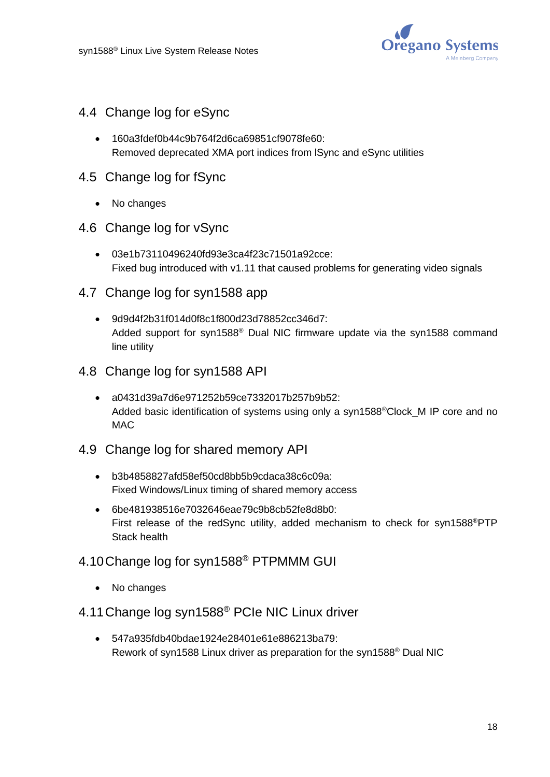

- 4.4 Change log for eSync
	- 160a3fdef0b44c9b764f2d6ca69851cf9078fe60: Removed deprecated XMA port indices from lSync and eSync utilities
- 4.5 Change log for fSync
	- No changes
- 4.6 Change log for vSync
	- 03e1b73110496240fd93e3ca4f23c71501a92cce: Fixed bug introduced with v1.11 that caused problems for generating video signals
- 4.7 Change log for syn1588 app
	- 9d9d4f2b31f014d0f8c1f800d23d78852cc346d7: Added support for syn1588® Dual NIC firmware update via the syn1588 command line utility
- 4.8 Change log for syn1588 API
	- a0431d39a7d6e971252b59ce7332017b257b9b52: Added basic identification of systems using only a syn1588<sup>®</sup>Clock M IP core and no **MAC**
- 4.9 Change log for shared memory API
	- b3b4858827afd58ef50cd8bb5b9cdaca38c6c09a: Fixed Windows/Linux timing of shared memory access
	- 6be481938516e7032646eae79c9b8cb52fe8d8b0: First release of the redSync utility, added mechanism to check for syn1588®PTP Stack health
- 4.10Change log for syn1588® PTPMMM GUI
	- No changes
- 4.11Change log syn1588® PCIe NIC Linux driver
	- 547a935fdb40bdae1924e28401e61e886213ba79: Rework of syn1588 Linux driver as preparation for the syn1588® Dual NIC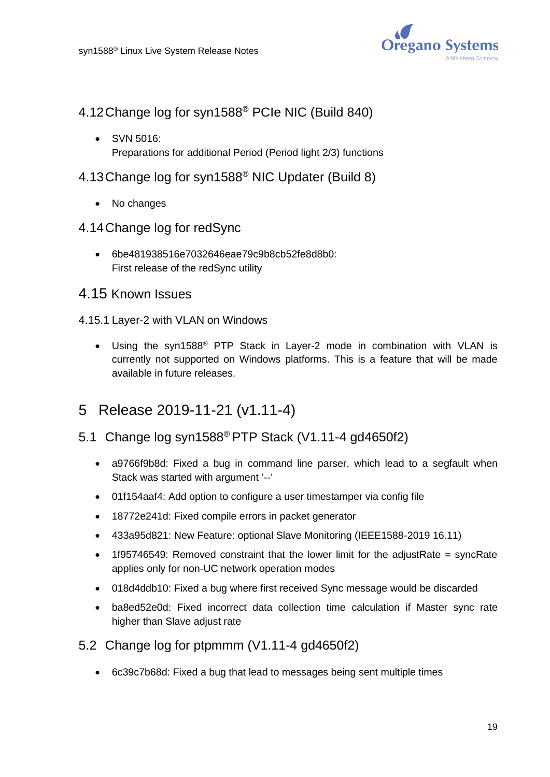

- 4.12Change log for syn1588® PCIe NIC (Build 840)
	- SVN 5016: Preparations for additional Period (Period light 2/3) functions
- 4.13Change log for syn1588 ® NIC Updater (Build 8)
	- No changes
- 4.14Change log for redSync
	- 6be481938516e7032646eae79c9b8cb52fe8d8b0: First release of the redSync utility

## 4.15 Known Issues

- 4.15.1 Layer-2 with VLAN on Windows
	- Using the syn1588® PTP Stack in Layer-2 mode in combination with VLAN is currently not supported on Windows platforms. This is a feature that will be made available in future releases.

# <span id="page-18-0"></span>5 Release 2019-11-21 (v1.11-4)

## 5.1 Change log syn1588® PTP Stack (V1.11-4 gd4650f2)

- a9766f9b8d: Fixed a bug in command line parser, which lead to a segfault when Stack was started with argument '--'
- 01f154aaf4: Add option to configure a user timestamper via config file
- 18772e241d: Fixed compile errors in packet generator
- 433a95d821: New Feature: optional Slave Monitoring (IEEE1588-2019 16.11)
- 1f95746549: Removed constraint that the lower limit for the adjustRate = syncRate applies only for non-UC network operation modes
- 018d4ddb10: Fixed a bug where first received Sync message would be discarded
- ba8ed52e0d: Fixed incorrect data collection time calculation if Master sync rate higher than Slave adjust rate
- 5.2 Change log for ptpmmm (V1.11-4 gd4650f2)
	- 6c39c7b68d: Fixed a bug that lead to messages being sent multiple times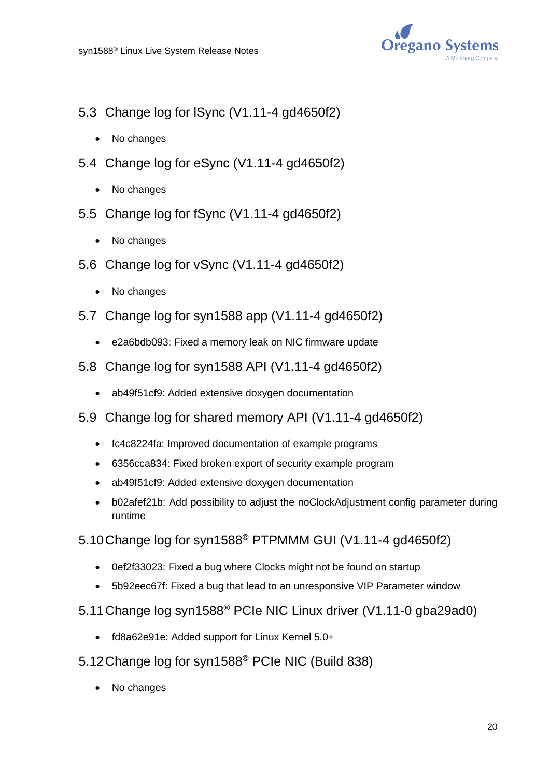

- 5.3 Change log for lSync (V1.11-4 gd4650f2)
	- No changes
- 5.4 Change log for eSync (V1.11-4 gd4650f2)
	- No changes
- 5.5 Change log for fSync (V1.11-4 gd4650f2)
	- No changes
- 5.6 Change log for vSync (V1.11-4 gd4650f2)
	- No changes
- 5.7 Change log for syn1588 app (V1.11-4 gd4650f2)
	- e2a6bdb093: Fixed a memory leak on NIC firmware update
- 5.8 Change log for syn1588 API (V1.11-4 gd4650f2)
	- ab49f51cf9: Added extensive doxygen documentation
- 5.9 Change log for shared memory API (V1.11-4 gd4650f2)
	- fc4c8224fa: Improved documentation of example programs
	- 6356cca834: Fixed broken export of security example program
	- ab49f51cf9: Added extensive doxygen documentation
	- b02afef21b: Add possibility to adjust the noClockAdjustment config parameter during runtime
- 5.10Change log for syn1588® PTPMMM GUI (V1.11-4 gd4650f2)
	- 0ef2f33023: Fixed a bug where Clocks might not be found on startup
	- 5b92eec67f: Fixed a bug that lead to an unresponsive VIP Parameter window
- 5.11Change log syn1588® PCIe NIC Linux driver (V1.11-0 gba29ad0)
	- fd8a62e91e: Added support for Linux Kernel 5.0+
- 5.12Change log for syn1588® PCIe NIC (Build 838)
	- No changes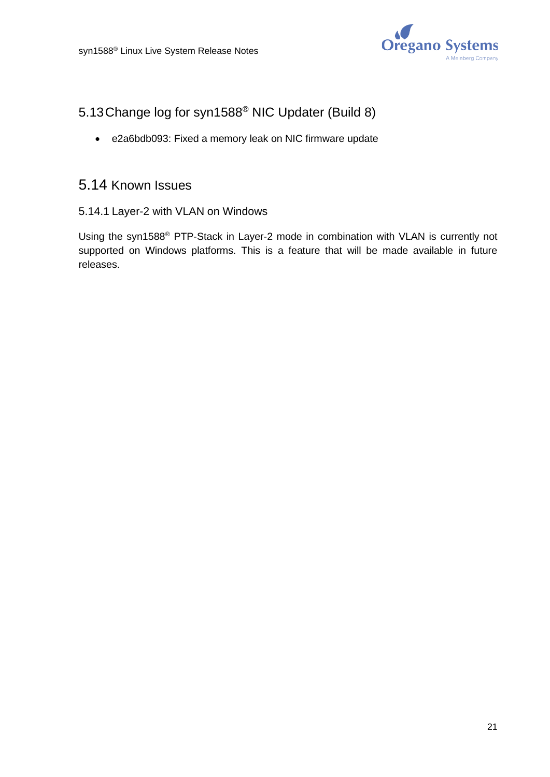

# 5.13Change log for syn1588® NIC Updater (Build 8)

• e2a6bdb093: Fixed a memory leak on NIC firmware update

## 5.14 Known Issues

5.14.1 Layer-2 with VLAN on Windows

Using the syn1588® PTP-Stack in Layer-2 mode in combination with VLAN is currently not supported on Windows platforms. This is a feature that will be made available in future releases.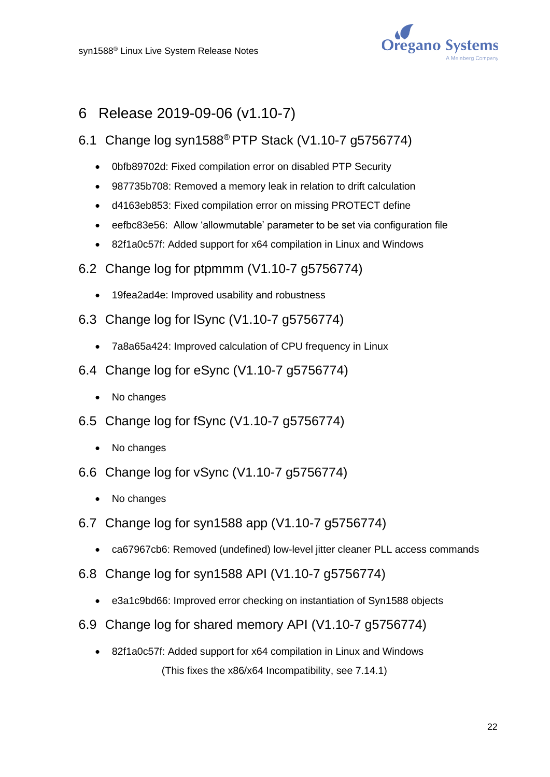![](_page_21_Picture_1.jpeg)

# <span id="page-21-0"></span>6 Release 2019-09-06 (v1.10-7)

- 6.1 Change log syn1588® PTP Stack (V1.10-7 g5756774)
	- 0bfb89702d: Fixed compilation error on disabled PTP Security
	- 987735b708: Removed a memory leak in relation to drift calculation
	- d4163eb853: Fixed compilation error on missing PROTECT define
	- eefbc83e56: Allow 'allowmutable' parameter to be set via configuration file
	- 82f1a0c57f: Added support for x64 compilation in Linux and Windows
- 6.2 Change log for ptpmmm (V1.10-7 g5756774)
	- 19fea2ad4e: Improved usability and robustness
- 6.3 Change log for lSync (V1.10-7 g5756774)
	- 7a8a65a424: Improved calculation of CPU frequency in Linux
- 6.4 Change log for eSync (V1.10-7 g5756774)
	- No changes
- 6.5 Change log for fSync (V1.10-7 g5756774)
	- No changes
- 6.6 Change log for vSync (V1.10-7 g5756774)
	- No changes
- 6.7 Change log for syn1588 app (V1.10-7 g5756774)
	- ca67967cb6: Removed (undefined) low-level jitter cleaner PLL access commands
- 6.8 Change log for syn1588 API (V1.10-7 g5756774)
	- e3a1c9bd66: Improved error checking on instantiation of Syn1588 objects
- 6.9 Change log for shared memory API (V1.10-7 g5756774)
	- 82f1a0c57f: Added support for x64 compilation in Linux and Windows (This fixes the x86/x64 Incompatibility, see [7.14.1\)](#page-25-0)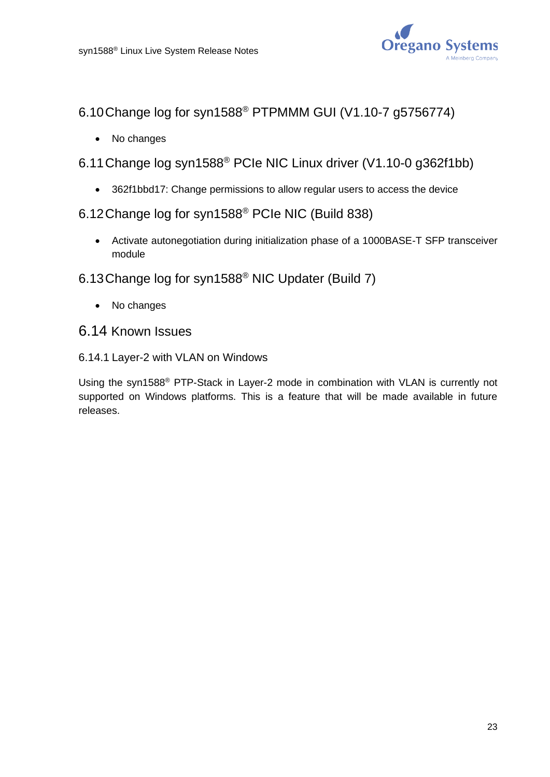![](_page_22_Picture_1.jpeg)

- 6.10Change log for syn1588® PTPMMM GUI (V1.10-7 g5756774)
	- No changes
- 6.11Change log syn1588® PCIe NIC Linux driver (V1.10-0 g362f1bb)
	- 362f1bbd17: Change permissions to allow regular users to access the device
- 6.12Change log for syn1588® PCIe NIC (Build 838)
	- Activate autonegotiation during initialization phase of a 1000BASE-T SFP transceiver module
- 6.13Change log for syn1588® NIC Updater (Build 7)
	- No changes
- 6.14 Known Issues
- 6.14.1 Layer-2 with VLAN on Windows

Using the syn1588® PTP-Stack in Layer-2 mode in combination with VLAN is currently not supported on Windows platforms. This is a feature that will be made available in future releases.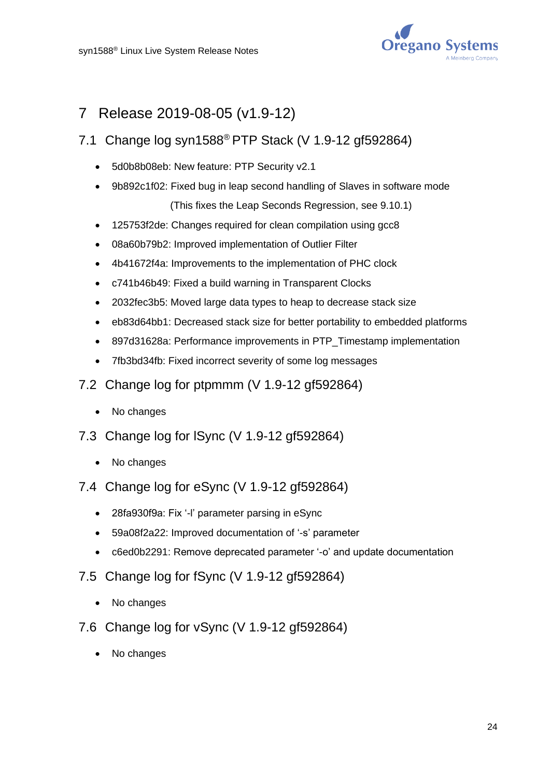![](_page_23_Picture_1.jpeg)

# <span id="page-23-0"></span>7 Release 2019-08-05 (v1.9-12)

# 7.1 Change log syn1588® PTP Stack (V 1.9-12 gf592864)

- 5d0b8b08eb: New feature: PTP Security v2.1
- 9b892c1f02: Fixed bug in leap second handling of Slaves in software mode (This fixes the Leap Seconds Regression, see [9.10.1\)](#page-29-1)
- 125753f2de: Changes required for clean compilation using gcc8
- 08a60b79b2: Improved implementation of Outlier Filter
- 4b41672f4a: Improvements to the implementation of PHC clock
- c741b46b49: Fixed a build warning in Transparent Clocks
- 2032fec3b5: Moved large data types to heap to decrease stack size
- eb83d64bb1: Decreased stack size for better portability to embedded platforms
- 897d31628a: Performance improvements in PTP\_Timestamp implementation
- 7fb3bd34fb: Fixed incorrect severity of some log messages
- 7.2 Change log for ptpmmm (V 1.9-12 gf592864)
	- No changes
- 7.3 Change log for lSync (V 1.9-12 gf592864)
	- No changes
- 7.4 Change log for eSync (V 1.9-12 gf592864)
	- 28fa930f9a: Fix '-l' parameter parsing in eSync
	- 59a08f2a22: Improved documentation of '-s' parameter
	- c6ed0b2291: Remove deprecated parameter '-o' and update documentation
- 7.5 Change log for fSync (V 1.9-12 gf592864)
	- No changes
- 7.6 Change log for vSync (V 1.9-12 gf592864)
	- No changes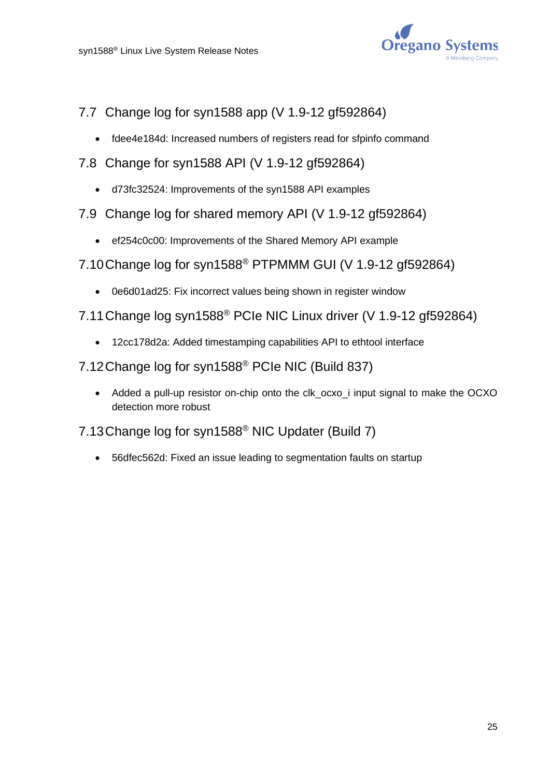![](_page_24_Picture_1.jpeg)

- 7.7 Change log for syn1588 app (V 1.9-12 gf592864)
	- fdee4e184d: Increased numbers of registers read for sfpinfo command
- 7.8 Change for syn1588 API (V 1.9-12 gf592864)
	- d73fc32524: Improvements of the syn1588 API examples
- 7.9 Change log for shared memory API (V 1.9-12 gf592864)
	- ef254c0c00: Improvements of the Shared Memory API example
- 7.10Change log for syn1588® PTPMMM GUI (V 1.9-12 gf592864)
	- 0e6d01ad25: Fix incorrect values being shown in register window
- 7.11Change log syn1588® PCIe NIC Linux driver (V 1.9-12 gf592864)
	- 12cc178d2a: Added timestamping capabilities API to ethtool interface
- 7.12Change log for syn1588® PCIe NIC (Build 837)
	- Added a pull-up resistor on-chip onto the clk ocxo i input signal to make the OCXO detection more robust
- 7.13Change log for syn1588® NIC Updater (Build 7)
	- 56dfec562d: Fixed an issue leading to segmentation faults on startup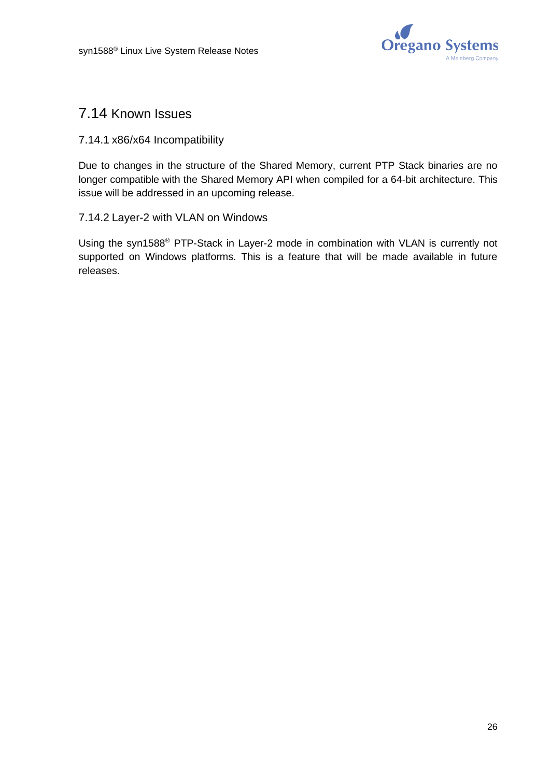![](_page_25_Picture_1.jpeg)

# 7.14 Known Issues

#### <span id="page-25-0"></span>7.14.1 x86/x64 Incompatibility

Due to changes in the structure of the Shared Memory, current PTP Stack binaries are no longer compatible with the Shared Memory API when compiled for a 64-bit architecture. This issue will be addressed in an upcoming release.

#### 7.14.2 Layer-2 with VLAN on Windows

Using the syn1588® PTP-Stack in Layer-2 mode in combination with VLAN is currently not supported on Windows platforms. This is a feature that will be made available in future releases.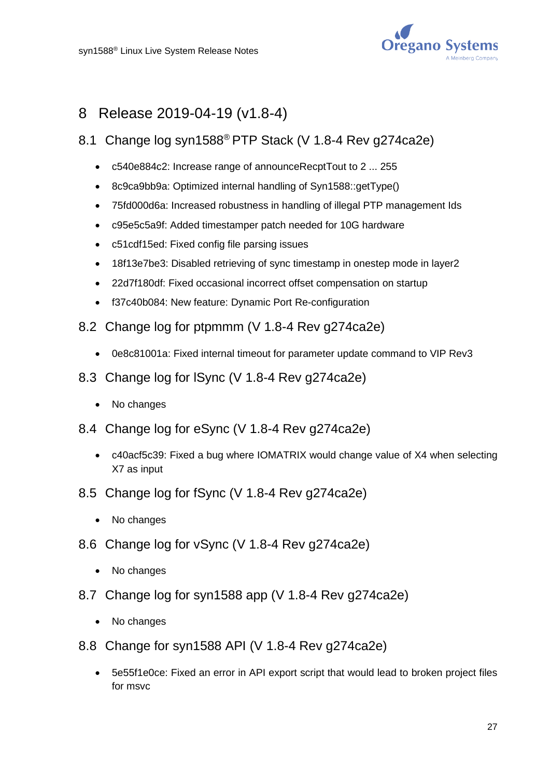![](_page_26_Picture_1.jpeg)

# <span id="page-26-0"></span>8 Release 2019-04-19 (v1.8-4)

## 8.1 Change log syn1588® PTP Stack (V 1.8-4 Rev g274ca2e)

- c540e884c2: Increase range of announceRecptTout to 2 ... 255
- 8c9ca9bb9a: Optimized internal handling of Syn1588::getType()
- 75fd000d6a: Increased robustness in handling of illegal PTP management Ids
- c95e5c5a9f: Added timestamper patch needed for 10G hardware
- c51cdf15ed: Fixed config file parsing issues
- 18f13e7be3: Disabled retrieving of sync timestamp in onestep mode in layer2
- 22d7f180df: Fixed occasional incorrect offset compensation on startup
- f37c40b084: New feature: Dynamic Port Re-configuration
- 8.2 Change log for ptpmmm (V 1.8-4 Rev g274ca2e)
	- 0e8c81001a: Fixed internal timeout for parameter update command to VIP Rev3
- 8.3 Change log for lSync (V 1.8-4 Rev g274ca2e)
	- No changes
- 8.4 Change log for eSync (V 1.8-4 Rev g274ca2e)
	- c40acf5c39: Fixed a bug where IOMATRIX would change value of X4 when selecting X7 as input
- 8.5 Change log for fSync (V 1.8-4 Rev g274ca2e)
	- No changes
- 8.6 Change log for vSync (V 1.8-4 Rev g274ca2e)
	- No changes
- 8.7 Change log for syn1588 app (V 1.8-4 Rev g274ca2e)
	- No changes
- 8.8 Change for syn1588 API (V 1.8-4 Rev g274ca2e)
	- 5e55f1e0ce: Fixed an error in API export script that would lead to broken project files for msvc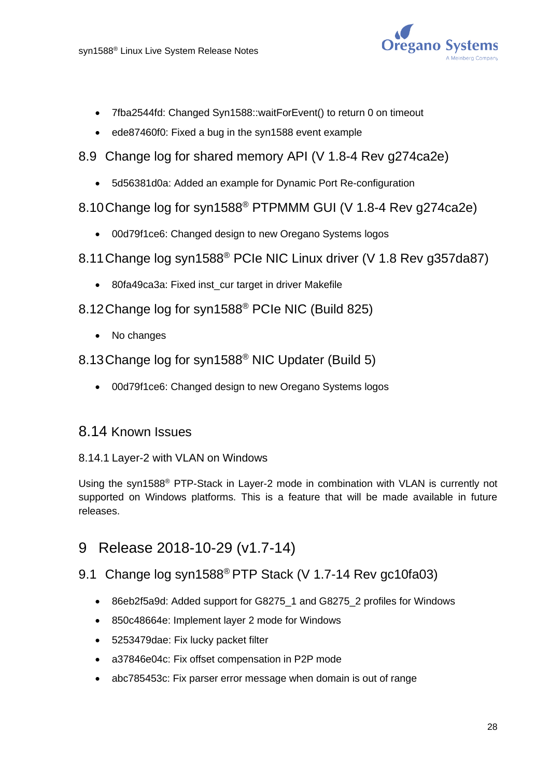![](_page_27_Picture_1.jpeg)

- 7fba2544fd: Changed Syn1588::waitForEvent() to return 0 on timeout
- ede87460f0: Fixed a bug in the syn1588 event example
- 8.9 Change log for shared memory API (V 1.8-4 Rev g274ca2e)
	- 5d56381d0a: Added an example for Dynamic Port Re-configuration
- 8.10Change log for syn1588® PTPMMM GUI (V 1.8-4 Rev g274ca2e)
	- 00d79f1ce6: Changed design to new Oregano Systems logos
- 8.11Change log syn1588® PCIe NIC Linux driver (V 1.8 Rev g357da87)
	- 80fa49ca3a: Fixed inst\_cur target in driver Makefile
- 8.12Change log for syn1588® PCIe NIC (Build 825)
	- No changes
- 8.13Change log for syn1588® NIC Updater (Build 5)
	- 00d79f1ce6: Changed design to new Oregano Systems logos

# 8.14 Known Issues

#### 8.14.1 Layer-2 with VLAN on Windows

Using the syn1588® PTP-Stack in Layer-2 mode in combination with VLAN is currently not supported on Windows platforms. This is a feature that will be made available in future releases.

# <span id="page-27-0"></span>9 Release 2018-10-29 (v1.7-14)

## 9.1 Change log syn1588<sup>®</sup> PTP Stack (V 1.7-14 Rev gc10fa03)

- 86eb2f5a9d: Added support for G8275\_1 and G8275\_2 profiles for Windows
- 850c48664e: Implement layer 2 mode for Windows
- 5253479dae: Fix lucky packet filter
- a37846e04c: Fix offset compensation in P2P mode
- abc785453c: Fix parser error message when domain is out of range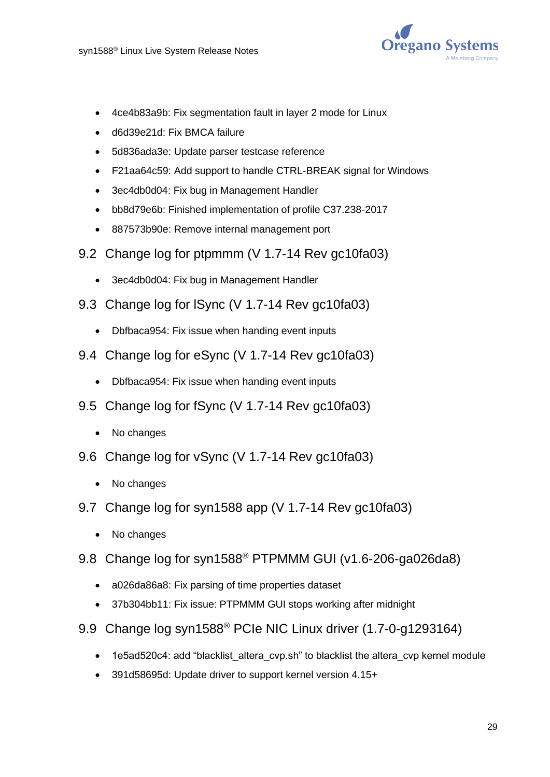![](_page_28_Picture_1.jpeg)

- 4ce4b83a9b: Fix segmentation fault in layer 2 mode for Linux
- d6d39e21d: Fix BMCA failure
- 5d836ada3e: Update parser testcase reference
- F21aa64c59: Add support to handle CTRL-BREAK signal for Windows
- 3ec4db0d04: Fix bug in Management Handler
- bb8d79e6b: Finished implementation of profile C37.238-2017
- 887573b90e: Remove internal management port
- 9.2 Change log for ptpmmm (V 1.7-14 Rev gc10fa03)
	- 3ec4db0d04: Fix bug in Management Handler
- 9.3 Change log for lSync (V 1.7-14 Rev gc10fa03)
	- Dbfbaca954: Fix issue when handing event inputs
- 9.4 Change log for eSync (V 1.7-14 Rev gc10fa03)
	- Dbfbaca954: Fix issue when handing event inputs
- 9.5 Change log for fSync (V 1.7-14 Rev gc10fa03)
	- No changes
- 9.6 Change log for vSync (V 1.7-14 Rev gc10fa03)
	- No changes
- 9.7 Change log for syn1588 app (V 1.7-14 Rev gc10fa03)
	- No changes
- 9.8 Change log for syn1588® PTPMMM GUI (v1.6-206-ga026da8)
	- a026da86a8: Fix parsing of time properties dataset
	- 37b304bb11: Fix issue: PTPMMM GUI stops working after midnight
- 9.9 Change log syn1588® PCIe NIC Linux driver (1.7-0-g1293164)
	- 1e5ad520c4: add "blacklist altera cvp.sh" to blacklist the altera cvp kernel module
	- 391d58695d: Update driver to support kernel version 4.15+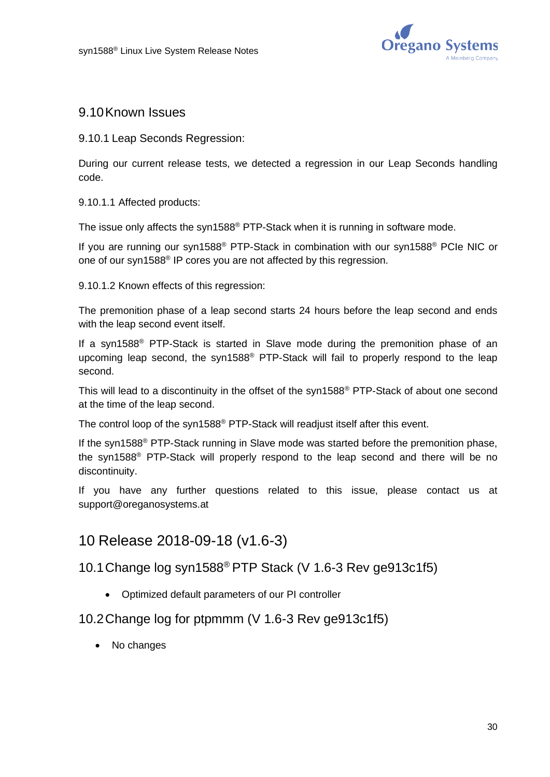![](_page_29_Picture_1.jpeg)

## 9.10Known Issues

<span id="page-29-1"></span>9.10.1 Leap Seconds Regression:

During our current release tests, we detected a regression in our Leap Seconds handling code.

#### 9.10.1.1 Affected products:

The issue only affects the syn1588® PTP-Stack when it is running in software mode.

If you are running our syn1588® PTP-Stack in combination with our syn1588® PCIe NIC or one of our syn1588<sup>®</sup> IP cores you are not affected by this regression.

9.10.1.2 Known effects of this regression:

The premonition phase of a leap second starts 24 hours before the leap second and ends with the leap second event itself.

If a syn1588<sup>®</sup> PTP-Stack is started in Slave mode during the premonition phase of an upcoming leap second, the syn1588® PTP-Stack will fail to properly respond to the leap second.

This will lead to a discontinuity in the offset of the syn1588® PTP-Stack of about one second at the time of the leap second.

The control loop of the syn1588® PTP-Stack will readjust itself after this event.

If the syn1588<sup>®</sup> PTP-Stack running in Slave mode was started before the premonition phase, the syn1588® PTP-Stack will properly respond to the leap second and there will be no discontinuity.

If you have any further questions related to this issue, please contact us at [support@oreganosystems.at](mailto:support@oreganosystems.at)

# <span id="page-29-0"></span>10 Release 2018-09-18 (v1.6-3)

## 10.1Change log syn1588® PTP Stack (V 1.6-3 Rev ge913c1f5)

• Optimized default parameters of our PI controller

## 10.2Change log for ptpmmm (V 1.6-3 Rev ge913c1f5)

• No changes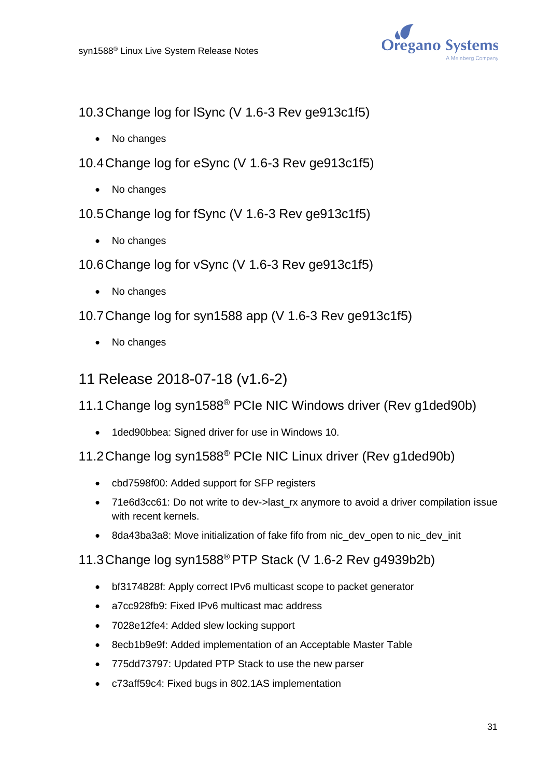![](_page_30_Picture_1.jpeg)

10.3Change log for lSync (V 1.6-3 Rev ge913c1f5)

- No changes
- 10.4Change log for eSync (V 1.6-3 Rev ge913c1f5)
	- No changes
- 10.5Change log for fSync (V 1.6-3 Rev ge913c1f5)
	- No changes
- 10.6Change log for vSync (V 1.6-3 Rev ge913c1f5)
	- No changes
- 10.7Change log for syn1588 app (V 1.6-3 Rev ge913c1f5)
	- No changes
- <span id="page-30-0"></span>11 Release 2018-07-18 (v1.6-2)
- 11.1Change log syn1588® PCIe NIC Windows driver (Rev g1ded90b)
	- 1ded90bbea: Signed driver for use in Windows 10.
- 11.2Change log syn1588® PCIe NIC Linux driver (Rev g1ded90b)
	- cbd7598f00: Added support for SFP registers
	- 71e6d3cc61: Do not write to dev->last rx anymore to avoid a driver compilation issue with recent kernels.
	- 8da43ba3a8: Move initialization of fake fifo from nic dev open to nic dev init

## 11.3Change log syn1588® PTP Stack (V 1.6-2 Rev g4939b2b)

- bf3174828f: Apply correct IPv6 multicast scope to packet generator
- a7cc928fb9: Fixed IPv6 multicast mac address
- 7028e12fe4: Added slew locking support
- 8ecb1b9e9f: Added implementation of an Acceptable Master Table
- 775dd73797: Updated PTP Stack to use the new parser
- c73aff59c4: Fixed bugs in 802.1AS implementation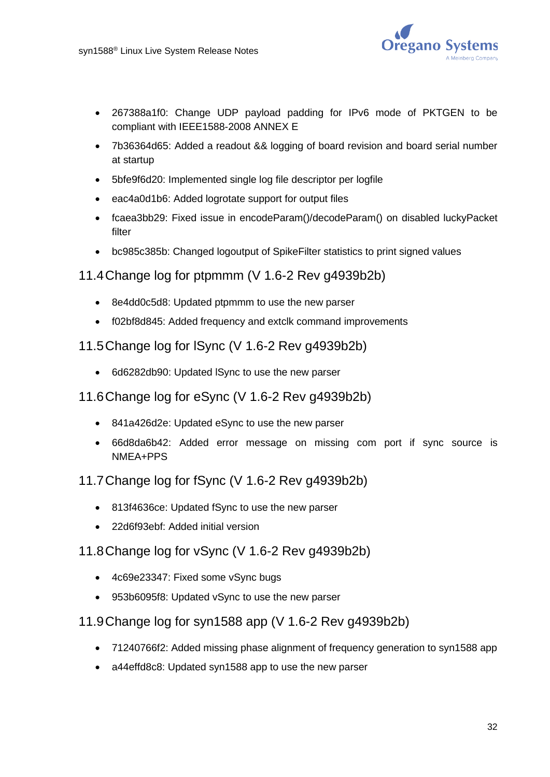![](_page_31_Picture_1.jpeg)

- 267388a1f0: Change UDP payload padding for IPv6 mode of PKTGEN to be compliant with IEEE1588-2008 ANNEX E
- 7b36364d65: Added a readout && logging of board revision and board serial number at startup
- 5bfe9f6d20: Implemented single log file descriptor per logfile
- eac4a0d1b6: Added logrotate support for output files
- fcaea3bb29: Fixed issue in encodeParam()/decodeParam() on disabled luckyPacket filter
- bc985c385b: Changed logoutput of SpikeFilter statistics to print signed values

#### 11.4Change log for ptpmmm (V 1.6-2 Rev g4939b2b)

- 8e4dd0c5d8: Updated ptpmmm to use the new parser
- f02bf8d845: Added frequency and extclk command improvements

#### 11.5Change log for lSync (V 1.6-2 Rev g4939b2b)

- 6d6282db90: Updated lSync to use the new parser
- 11.6Change log for eSync (V 1.6-2 Rev g4939b2b)
	- 841a426d2e: Updated eSync to use the new parser
	- 66d8da6b42: Added error message on missing com port if sync source is NMEA+PPS

#### 11.7Change log for fSync (V 1.6-2 Rev g4939b2b)

- 813f4636ce: Updated fSync to use the new parser
- 22d6f93ebf: Added initial version

## 11.8Change log for vSync (V 1.6-2 Rev g4939b2b)

- 4c69e23347: Fixed some vSync bugs
- 953b6095f8: Updated vSync to use the new parser

## 11.9Change log for syn1588 app (V 1.6-2 Rev g4939b2b)

- 71240766f2: Added missing phase alignment of frequency generation to syn1588 app
- a44effd8c8: Updated syn1588 app to use the new parser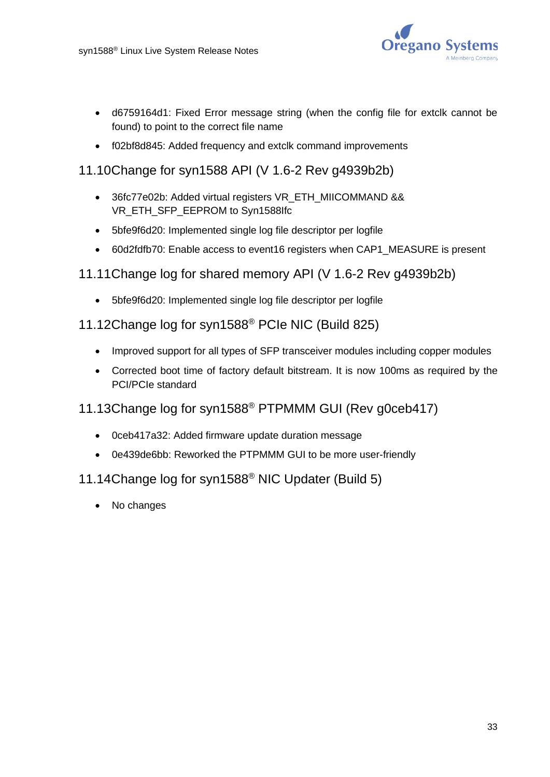![](_page_32_Picture_1.jpeg)

- d6759164d1: Fixed Error message string (when the config file for extclk cannot be found) to point to the correct file name
- f02bf8d845: Added frequency and extclk command improvements

### 11.10Change for syn1588 API (V 1.6-2 Rev g4939b2b)

- 36fc77e02b: Added virtual registers VR\_ETH\_MIICOMMAND && VR\_ETH\_SFP\_EEPROM to Syn1588Ifc
- 5bfe9f6d20: Implemented single log file descriptor per logfile
- 60d2fdfb70: Enable access to event16 registers when CAP1\_MEASURE is present
- 11.11Change log for shared memory API (V 1.6-2 Rev g4939b2b)
	- 5bfe9f6d20: Implemented single log file descriptor per logfile

# 11.12Change log for syn1588® PCIe NIC (Build 825)

- Improved support for all types of SFP transceiver modules including copper modules
- Corrected boot time of factory default bitstream. It is now 100ms as required by the PCI/PCIe standard

## 11.13Change log for syn1588® PTPMMM GUI (Rev g0ceb417)

- 0ceb417a32: Added firmware update duration message
- 0e439de6bb: Reworked the PTPMMM GUI to be more user-friendly

## 11.14Change log for syn1588® NIC Updater (Build 5)

• No changes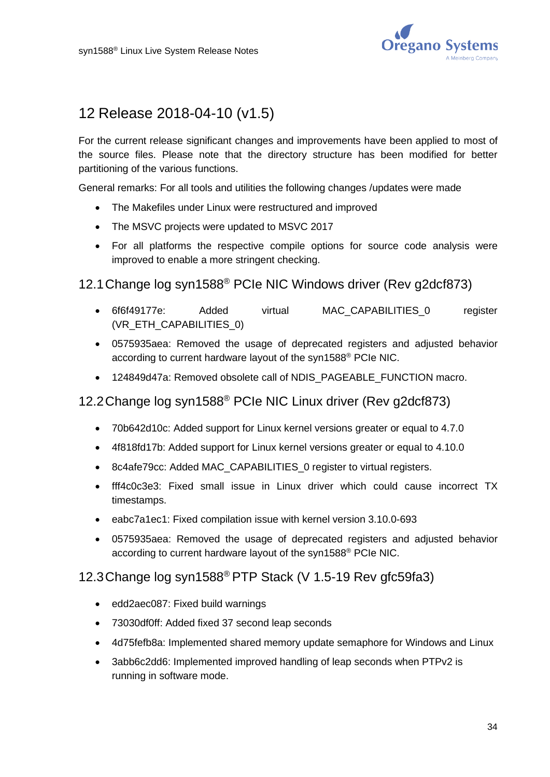![](_page_33_Picture_1.jpeg)

# <span id="page-33-0"></span>12 Release 2018-04-10 (v1.5)

For the current release significant changes and improvements have been applied to most of the source files. Please note that the directory structure has been modified for better partitioning of the various functions.

General remarks: For all tools and utilities the following changes /updates were made

- The Makefiles under Linux were restructured and improved
- The MSVC projects were updated to MSVC 2017
- For all platforms the respective compile options for source code analysis were improved to enable a more stringent checking.

#### 12.1Change log syn1588® PCIe NIC Windows driver (Rev g2dcf873)

- 6f6f49177e: Added virtual MAC\_CAPABILITIES\_0 register (VR\_ETH\_CAPABILITIES\_0)
- 0575935aea: Removed the usage of deprecated registers and adjusted behavior according to current hardware layout of the syn1588® PCIe NIC.
- 124849d47a: Removed obsolete call of NDIS\_PAGEABLE\_FUNCTION macro.

# 12.2Change log syn1588® PCIe NIC Linux driver (Rev g2dcf873)

- 70b642d10c: Added support for Linux kernel versions greater or equal to 4.7.0
- 4f818fd17b: Added support for Linux kernel versions greater or equal to 4.10.0
- 8c4afe79cc: Added MAC\_CAPABILITIES\_0 register to virtual registers.
- fff4c0c3e3: Fixed small issue in Linux driver which could cause incorrect TX timestamps.
- eabc7a1ec1: Fixed compilation issue with kernel version 3.10.0-693
- 0575935aea: Removed the usage of deprecated registers and adjusted behavior according to current hardware layout of the syn1588® PCIe NIC.

#### 12.3Change log syn1588® PTP Stack (V 1.5-19 Rev gfc59fa3)

- edd2aec087: Fixed build warnings
- 73030df0ff: Added fixed 37 second leap seconds
- 4d75fefb8a: Implemented shared memory update semaphore for Windows and Linux
- 3abb6c2dd6: Implemented improved handling of leap seconds when PTPv2 is running in software mode.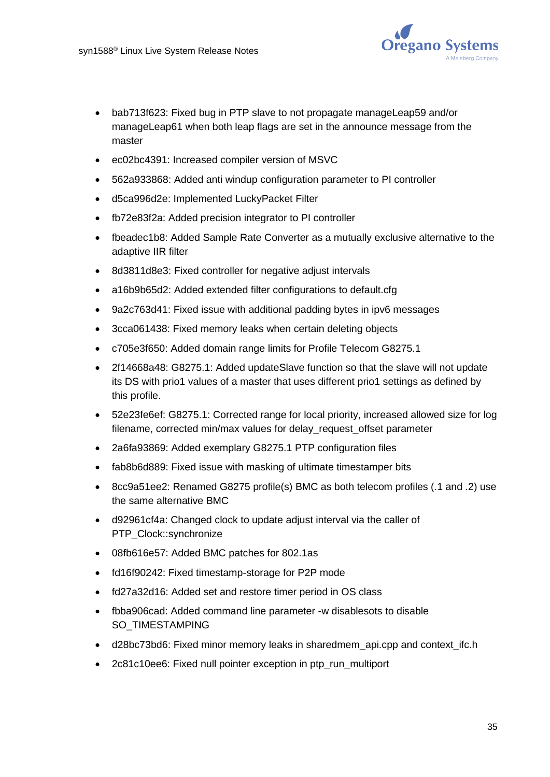![](_page_34_Picture_1.jpeg)

- bab713f623: Fixed bug in PTP slave to not propagate manageLeap59 and/or manageLeap61 when both leap flags are set in the announce message from the master
- ec02bc4391: Increased compiler version of MSVC
- 562a933868: Added anti windup configuration parameter to PI controller
- d5ca996d2e: Implemented LuckyPacket Filter
- fb72e83f2a: Added precision integrator to PI controller
- fbeadec1b8: Added Sample Rate Converter as a mutually exclusive alternative to the adaptive IIR filter
- 8d3811d8e3: Fixed controller for negative adjust intervals
- a16b9b65d2: Added extended filter configurations to default.cfg
- 9a2c763d41: Fixed issue with additional padding bytes in ipv6 messages
- 3cca061438: Fixed memory leaks when certain deleting objects
- c705e3f650: Added domain range limits for Profile Telecom G8275.1
- 2f14668a48: G8275.1: Added updateSlave function so that the slave will not update its DS with prio1 values of a master that uses different prio1 settings as defined by this profile.
- 52e23fe6ef: G8275.1: Corrected range for local priority, increased allowed size for log filename, corrected min/max values for delay\_request\_offset parameter
- 2a6fa93869: Added exemplary G8275.1 PTP configuration files
- fab8b6d889: Fixed issue with masking of ultimate timestamper bits
- 8cc9a51ee2: Renamed G8275 profile(s) BMC as both telecom profiles (.1 and .2) use the same alternative BMC
- d92961cf4a: Changed clock to update adjust interval via the caller of PTP\_Clock::synchronize
- 08fb616e57: Added BMC patches for 802.1as
- fd16f90242: Fixed timestamp-storage for P2P mode
- fd27a32d16: Added set and restore timer period in OS class
- fbba906cad: Added command line parameter -w disablesots to disable SO\_TIMESTAMPING
- d28bc73bd6: Fixed minor memory leaks in sharedmem api.cpp and context ifc.h
- 2c81c10ee6: Fixed null pointer exception in ptp\_run\_multiport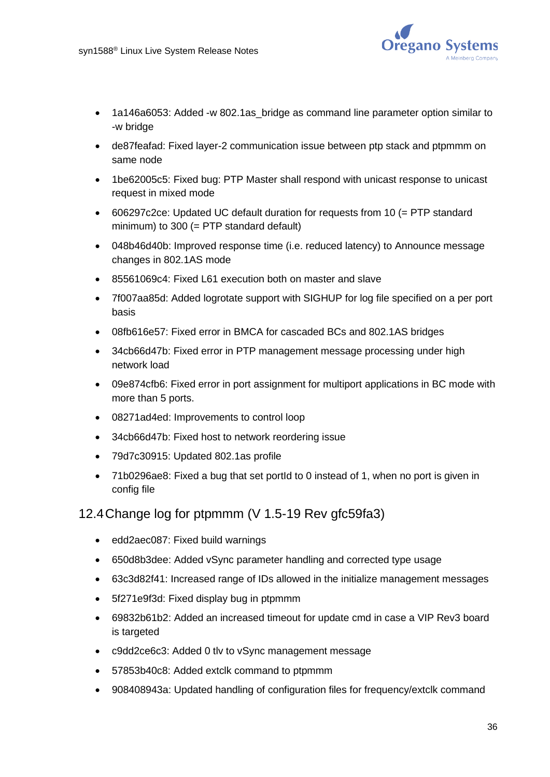![](_page_35_Picture_1.jpeg)

- 1a146a6053: Added -w 802.1as bridge as command line parameter option similar to -w bridge
- de87feafad: Fixed layer-2 communication issue between ptp stack and ptpmmm on same node
- 1be62005c5: Fixed bug: PTP Master shall respond with unicast response to unicast request in mixed mode
- 606297c2ce: Updated UC default duration for requests from 10 (= PTP standard minimum) to 300 (= PTP standard default)
- 048b46d40b: Improved response time (i.e. reduced latency) to Announce message changes in 802.1AS mode
- 85561069c4: Fixed L61 execution both on master and slave
- 7f007aa85d: Added logrotate support with SIGHUP for log file specified on a per port basis
- 08fb616e57: Fixed error in BMCA for cascaded BCs and 802.1AS bridges
- 34cb66d47b: Fixed error in PTP management message processing under high network load
- 09e874cfb6: Fixed error in port assignment for multiport applications in BC mode with more than 5 ports.
- 08271ad4ed: Improvements to control loop
- 34cb66d47b: Fixed host to network reordering issue
- 79d7c30915: Updated 802.1as profile
- 71b0296ae8: Fixed a bug that set portId to 0 instead of 1, when no port is given in config file

## 12.4Change log for ptpmmm (V 1.5-19 Rev gfc59fa3)

- edd2aec087: Fixed build warnings
- 650d8b3dee: Added vSync parameter handling and corrected type usage
- 63c3d82f41: Increased range of IDs allowed in the initialize management messages
- 5f271e9f3d: Fixed display bug in ptpmmm
- 69832b61b2: Added an increased timeout for update cmd in case a VIP Rev3 board is targeted
- c9dd2ce6c3: Added 0 tlv to vSync management message
- 57853b40c8: Added extclk command to ptpmmm
- 908408943a: Updated handling of configuration files for frequency/extclk command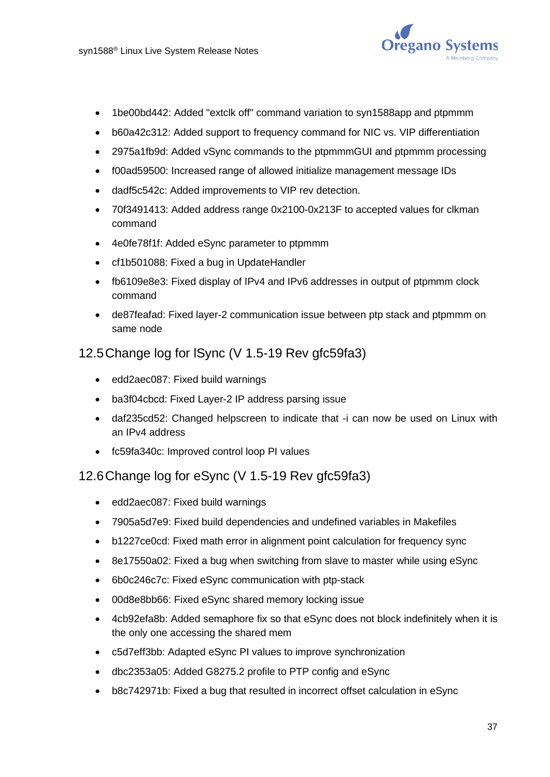

- 1be00bd442: Added "extclk off" command variation to syn1588app and ptpmmm
- b60a42c312: Added support to frequency command for NIC vs. VIP differentiation
- 2975a1fb9d: Added vSync commands to the ptpmmmGUI and ptpmmm processing
- f00ad59500: Increased range of allowed initialize management message IDs
- dadf5c542c: Added improvements to VIP rev detection.
- 70f3491413: Added address range 0x2100-0x213F to accepted values for clkman command
- 4e0fe78f1f: Added eSync parameter to ptpmmm
- cf1b501088: Fixed a bug in UpdateHandler
- fb6109e8e3: Fixed display of IPv4 and IPv6 addresses in output of ptpmmm clock command
- de87feafad: Fixed layer-2 communication issue between ptp stack and ptpmmm on same node

### 12.5Change log for lSync (V 1.5-19 Rev gfc59fa3)

- edd2aec087: Fixed build warnings
- ba3f04cbcd: Fixed Layer-2 IP address parsing issue
- daf235cd52: Changed helpscreen to indicate that -i can now be used on Linux with an IPv4 address
- fc59fa340c: Improved control loop PI values

### 12.6Change log for eSync (V 1.5-19 Rev gfc59fa3)

- edd2aec087: Fixed build warnings
- 7905a5d7e9: Fixed build dependencies and undefined variables in Makefiles
- b1227ce0cd: Fixed math error in alignment point calculation for frequency sync
- 8e17550a02: Fixed a bug when switching from slave to master while using eSync
- 6b0c246c7c: Fixed eSync communication with ptp-stack
- 00d8e8bb66: Fixed eSync shared memory locking issue
- 4cb92efa8b: Added semaphore fix so that eSync does not block indefinitely when it is the only one accessing the shared mem
- c5d7eff3bb: Adapted eSync PI values to improve synchronization
- dbc2353a05: Added G8275.2 profile to PTP config and eSync
- b8c742971b: Fixed a bug that resulted in incorrect offset calculation in eSync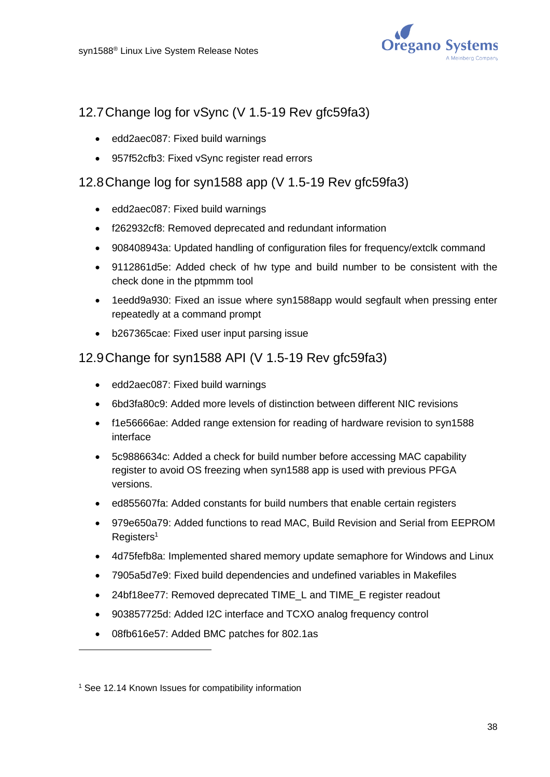

# 12.7Change log for vSync (V 1.5-19 Rev gfc59fa3)

- edd2aec087: Fixed build warnings
- 957f52cfb3: Fixed vSync register read errors

## 12.8Change log for syn1588 app (V 1.5-19 Rev gfc59fa3)

- edd2aec087: Fixed build warnings
- f262932cf8: Removed deprecated and redundant information
- 908408943a: Updated handling of configuration files for frequency/extclk command
- 9112861d5e: Added check of hw type and build number to be consistent with the check done in the ptpmmm tool
- 1eedd9a930: Fixed an issue where syn1588app would segfault when pressing enter repeatedly at a command prompt
- b267365cae: Fixed user input parsing issue

### 12.9Change for syn1588 API (V 1.5-19 Rev gfc59fa3)

- edd2aec087: Fixed build warnings
- 6bd3fa80c9: Added more levels of distinction between different NIC revisions
- f1e56666ae: Added range extension for reading of hardware revision to syn1588 interface
- 5c9886634c: Added a check for build number before accessing MAC capability register to avoid OS freezing when syn1588 app is used with previous PFGA versions.
- ed855607fa: Added constants for build numbers that enable certain registers
- 979e650a79: Added functions to read MAC, Build Revision and Serial from EEPROM Registers<sup>1</sup>
- 4d75fefb8a: Implemented shared memory update semaphore for Windows and Linux
- 7905a5d7e9: Fixed build dependencies and undefined variables in Makefiles
- 24bf18ee77: Removed deprecated TIME\_L and TIME\_E register readout
- 903857725d: Added I2C interface and TCXO analog frequency control
- 08fb616e57: Added BMC patches for 802.1as

<sup>1</sup> See [12.14](#page-39-0) Known Issues for compatibility information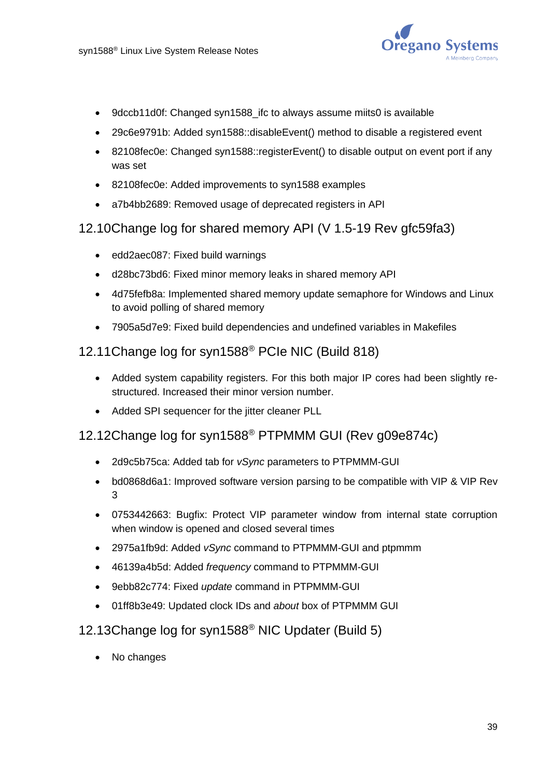

- 9dccb11d0f: Changed syn1588 ifc to always assume miits0 is available
- 29c6e9791b: Added syn1588::disableEvent() method to disable a registered event
- 82108fec0e: Changed syn1588::registerEvent() to disable output on event port if any was set
- 82108fec0e: Added improvements to syn1588 examples
- a7b4bb2689: Removed usage of deprecated registers in API

### 12.10Change log for shared memory API (V 1.5-19 Rev gfc59fa3)

- edd2aec087: Fixed build warnings
- d28bc73bd6: Fixed minor memory leaks in shared memory API
- 4d75fefb8a: Implemented shared memory update semaphore for Windows and Linux to avoid polling of shared memory
- 7905a5d7e9: Fixed build dependencies and undefined variables in Makefiles

### 12.11Change log for syn1588® PCIe NIC (Build 818)

- Added system capability registers. For this both major IP cores had been slightly restructured. Increased their minor version number.
- Added SPI sequencer for the jitter cleaner PLL

## 12.12Change log for syn1588® PTPMMM GUI (Rev g09e874c)

- 2d9c5b75ca: Added tab for *vSync* parameters to PTPMMM-GUI
- bd0868d6a1: Improved software version parsing to be compatible with VIP & VIP Rev 3
- 0753442663: Bugfix: Protect VIP parameter window from internal state corruption when window is opened and closed several times
- 2975a1fb9d: Added *vSync* command to PTPMMM-GUI and ptpmmm
- 46139a4b5d: Added *frequency* command to PTPMMM-GUI
- 9ebb82c774: Fixed *update* command in PTPMMM-GUI
- 01ff8b3e49: Updated clock IDs and *about* box of PTPMMM GUI

#### 12.13Change log for syn1588® NIC Updater (Build 5)

• No changes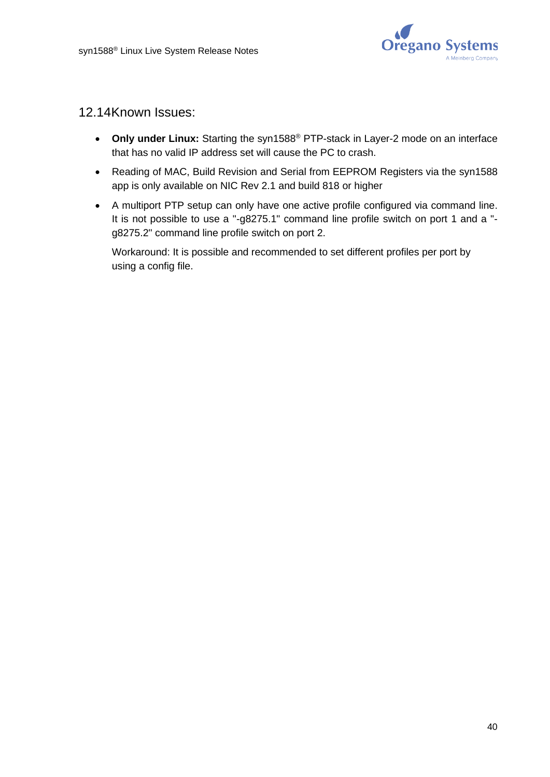

### <span id="page-39-0"></span>12.14Known Issues:

- **Only under Linux:** Starting the syn1588® PTP-stack in Layer-2 mode on an interface that has no valid IP address set will cause the PC to crash.
- Reading of MAC, Build Revision and Serial from EEPROM Registers via the syn1588 app is only available on NIC Rev 2.1 and build 818 or higher
- A multiport PTP setup can only have one active profile configured via command line. It is not possible to use a "-g8275.1" command line profile switch on port 1 and a " g8275.2" command line profile switch on port 2.

Workaround: It is possible and recommended to set different profiles per port by using a config file.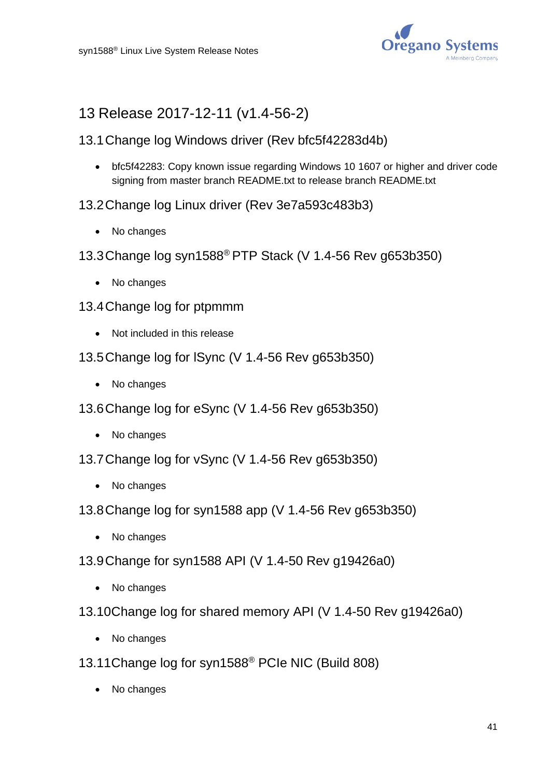

# 13 Release 2017-12-11 (v1.4-56-2)

## 13.1Change log Windows driver (Rev bfc5f42283d4b)

- bfc5f42283: Copy known issue regarding Windows 10 1607 or higher and driver code signing from master branch README.txt to release branch README.txt
- 13.2Change log Linux driver (Rev 3e7a593c483b3)
	- No changes
- 13.3Change log syn1588® PTP Stack (V 1.4-56 Rev g653b350)
	- No changes
- 13.4Change log for ptpmmm
	- Not included in this release
- 13.5Change log for lSync (V 1.4-56 Rev g653b350)
	- No changes
- 13.6Change log for eSync (V 1.4-56 Rev g653b350)
	- No changes
- 13.7Change log for vSync (V 1.4-56 Rev g653b350)
	- No changes
- 13.8Change log for syn1588 app (V 1.4-56 Rev g653b350)
	- No changes
- 13.9Change for syn1588 API (V 1.4-50 Rev g19426a0)
	- No changes
- 13.10Change log for shared memory API (V 1.4-50 Rev g19426a0)
	- No changes
- 13.11Change log for syn1588® PCIe NIC (Build 808)
	- No changes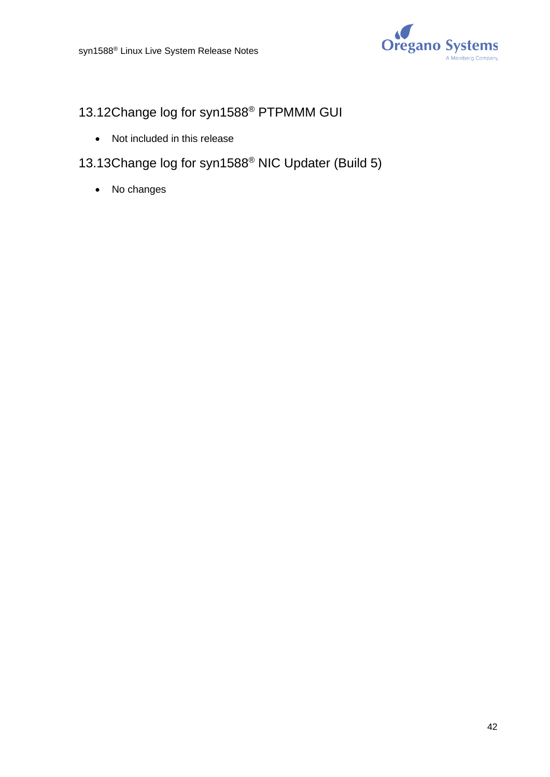

# 13.12Change log for syn1588® PTPMMM GUI

- Not included in this release
- 13.13Change log for syn1588® NIC Updater (Build 5)
	- No changes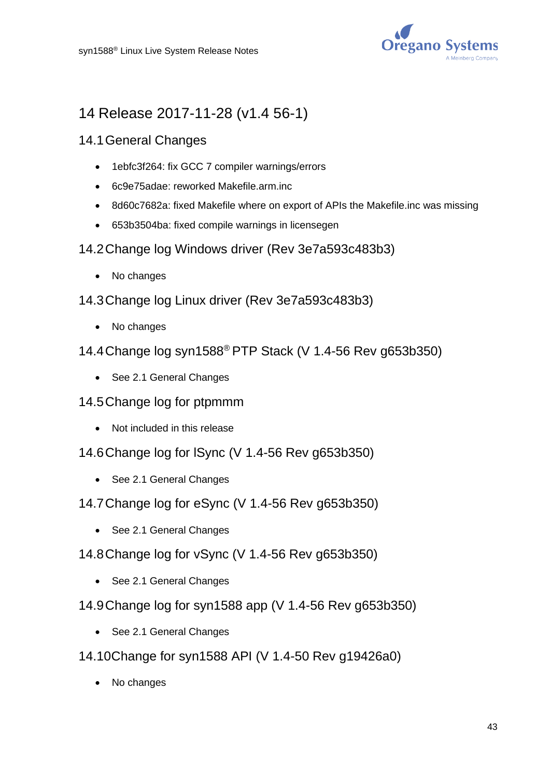

# 14 Release 2017-11-28 (v1.4 56-1)

- 14.1General Changes
	- 1ebfc3f264: fix GCC 7 compiler warnings/errors
	- 6c9e75adae: reworked Makefile.arm.inc
	- 8d60c7682a: fixed Makefile where on export of APIs the Makefile.inc was missing
	- 653b3504ba: fixed compile warnings in licensegen
- 14.2Change log Windows driver (Rev 3e7a593c483b3)
	- No changes
- 14.3Change log Linux driver (Rev 3e7a593c483b3)
	- No changes
- 14.4Change log syn1588® PTP Stack (V 1.4-56 Rev g653b350)
	- See 2.1 General Changes
- 14.5Change log for ptpmmm
	- Not included in this release
- 14.6Change log for lSync (V 1.4-56 Rev g653b350)
	- See 2.1 General Changes
- 14.7Change log for eSync (V 1.4-56 Rev g653b350)
	- See 2.1 General Changes
- 14.8Change log for vSync (V 1.4-56 Rev g653b350)
	- See 2.1 General Changes
- 14.9Change log for syn1588 app (V 1.4-56 Rev g653b350)
	- See 2.1 General Changes
- 14.10Change for syn1588 API (V 1.4-50 Rev g19426a0)
	- No changes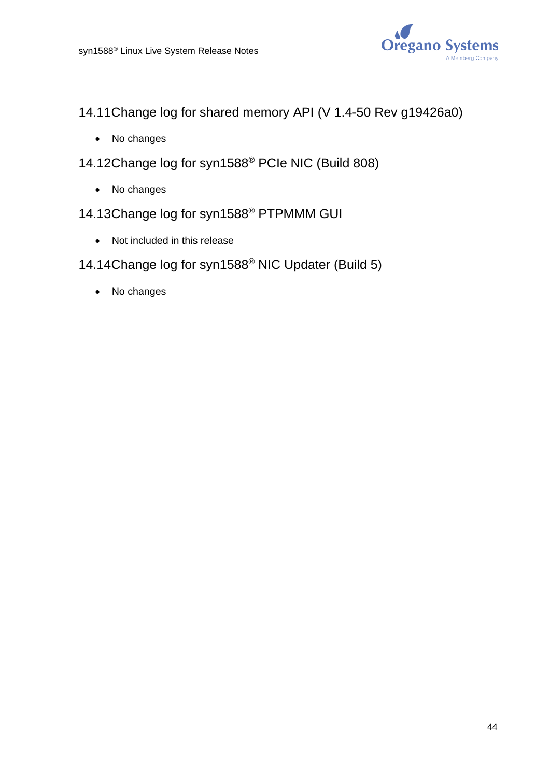

14.11Change log for shared memory API (V 1.4-50 Rev g19426a0)

- No changes
- 14.12Change log for syn1588® PCIe NIC (Build 808)
	- No changes
- 14.13Change log for syn1588® PTPMMM GUI
	- Not included in this release

# 14.14Change log for syn1588® NIC Updater (Build 5)

• No changes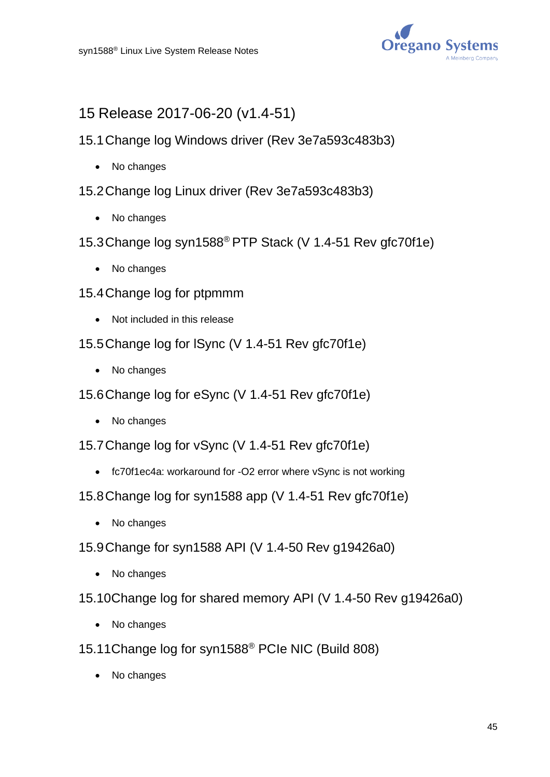

# 15 Release 2017-06-20 (v1.4-51)

- 15.1Change log Windows driver (Rev 3e7a593c483b3)
	- No changes
- 15.2Change log Linux driver (Rev 3e7a593c483b3)
	- No changes
- 15.3Change log syn1588® PTP Stack (V 1.4-51 Rev gfc70f1e)
	- No changes
- 15.4Change log for ptpmmm
	- Not included in this release
- 15.5Change log for lSync (V 1.4-51 Rev gfc70f1e)
	- No changes
- 15.6Change log for eSync (V 1.4-51 Rev gfc70f1e)
	- No changes
- 15.7Change log for vSync (V 1.4-51 Rev gfc70f1e)
	- fc70f1ec4a: workaround for -O2 error where vSync is not working
- 15.8Change log for syn1588 app (V 1.4-51 Rev gfc70f1e)
	- No changes
- 15.9Change for syn1588 API (V 1.4-50 Rev g19426a0)
	- No changes
- 15.10Change log for shared memory API (V 1.4-50 Rev g19426a0)
	- No changes
- 15.11Change log for syn1588® PCIe NIC (Build 808)
	- No changes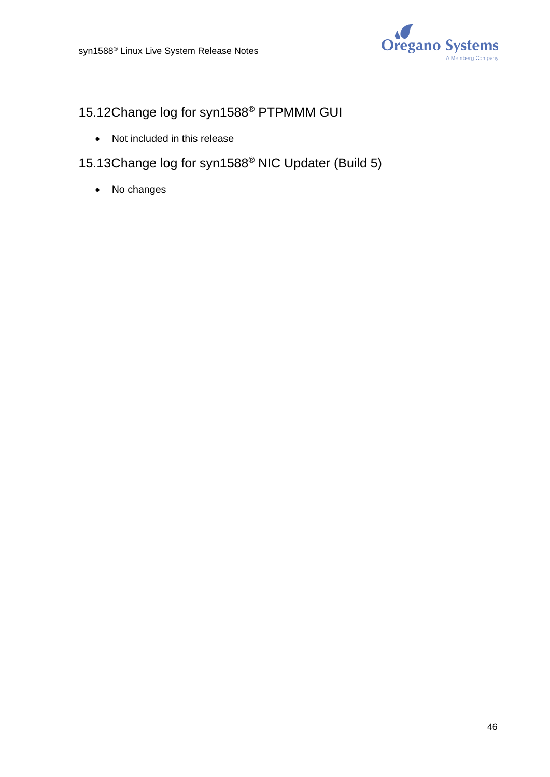

# 15.12Change log for syn1588® PTPMMM GUI

- Not included in this release
- 15.13Change log for syn1588® NIC Updater (Build 5)
	- No changes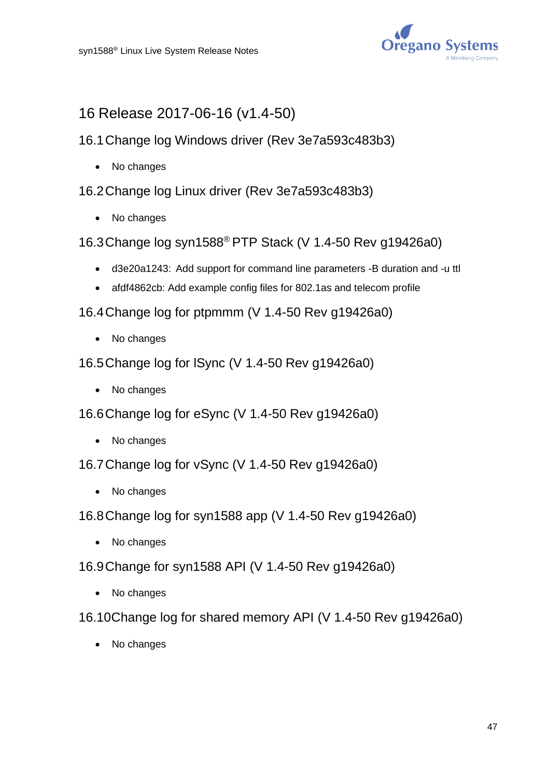

# 16 Release 2017-06-16 (v1.4-50)

- 16.1Change log Windows driver (Rev 3e7a593c483b3)
	- No changes

16.2Change log Linux driver (Rev 3e7a593c483b3)

- No changes
- 16.3Change log syn1588® PTP Stack (V 1.4-50 Rev g19426a0)
	- d3e20a1243: Add support for command line parameters -B duration and -u ttl
	- afdf4862cb: Add example config files for 802.1as and telecom profile

16.4Change log for ptpmmm (V 1.4-50 Rev g19426a0)

- No changes
- 16.5Change log for lSync (V 1.4-50 Rev g19426a0)
	- No changes
- 16.6Change log for eSync (V 1.4-50 Rev g19426a0)
	- No changes
- 16.7Change log for vSync (V 1.4-50 Rev g19426a0)
	- No changes
- 16.8Change log for syn1588 app (V 1.4-50 Rev g19426a0)
	- No changes
- 16.9Change for syn1588 API (V 1.4-50 Rev g19426a0)
	- No changes
- 16.10Change log for shared memory API (V 1.4-50 Rev g19426a0)
	- No changes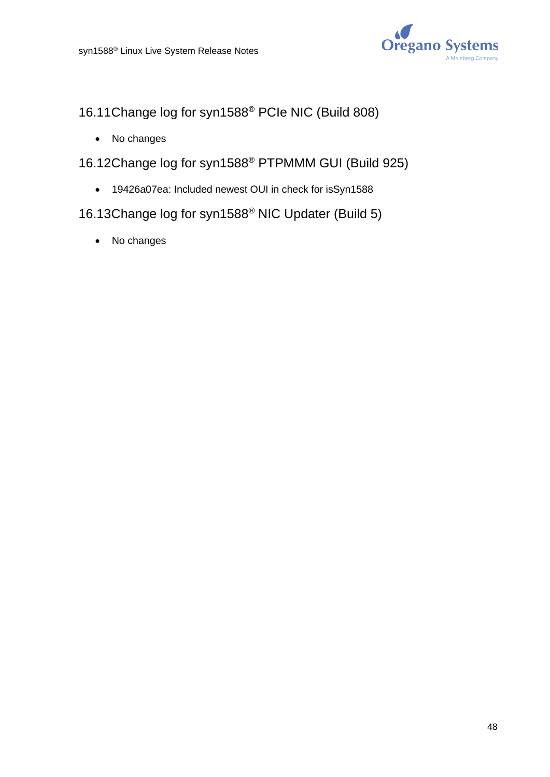

16.11Change log for syn1588® PCIe NIC (Build 808)

- No changes
- 16.12Change log for syn1588® PTPMMM GUI (Build 925)
	- 19426a07ea: Included newest OUI in check for isSyn1588
- 16.13Change log for syn1588® NIC Updater (Build 5)
	- No changes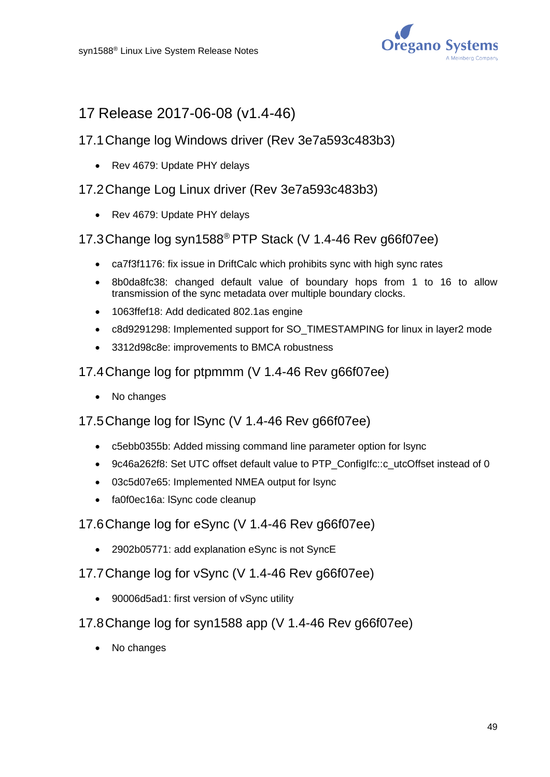

# 17 Release 2017-06-08 (v1.4-46)

# 17.1Change log Windows driver (Rev 3e7a593c483b3)

• Rev 4679: Update PHY delays

# 17.2Change Log Linux driver (Rev 3e7a593c483b3)

• Rev 4679: Update PHY delays

## 17.3Change log syn1588® PTP Stack (V 1.4-46 Rev g66f07ee)

- ca7f3f1176: fix issue in DriftCalc which prohibits sync with high sync rates
- 8b0da8fc38: changed default value of boundary hops from 1 to 16 to allow transmission of the sync metadata over multiple boundary clocks.
- 1063ffef18: Add dedicated 802.1as engine
- c8d9291298: Implemented support for SO\_TIMESTAMPING for linux in layer2 mode
- 3312d98c8e: improvements to BMCA robustness
- 17.4Change log for ptpmmm (V 1.4-46 Rev g66f07ee)
	- No changes

## 17.5Change log for lSync (V 1.4-46 Rev g66f07ee)

- c5ebb0355b: Added missing command line parameter option for lsync
- 9c46a262f8: Set UTC offset default value to PTP\_ConfigIfc::c\_utcOffset instead of 0
- 03c5d07e65: Implemented NMEA output for lsync
- fa0f0ec16a: ISync code cleanup

### 17.6Change log for eSync (V 1.4-46 Rev g66f07ee)

- 2902b05771: add explanation eSync is not SyncE
- 17.7Change log for vSync (V 1.4-46 Rev g66f07ee)
	- 90006d5ad1: first version of vSync utility
- 17.8Change log for syn1588 app (V 1.4-46 Rev g66f07ee)
	- No changes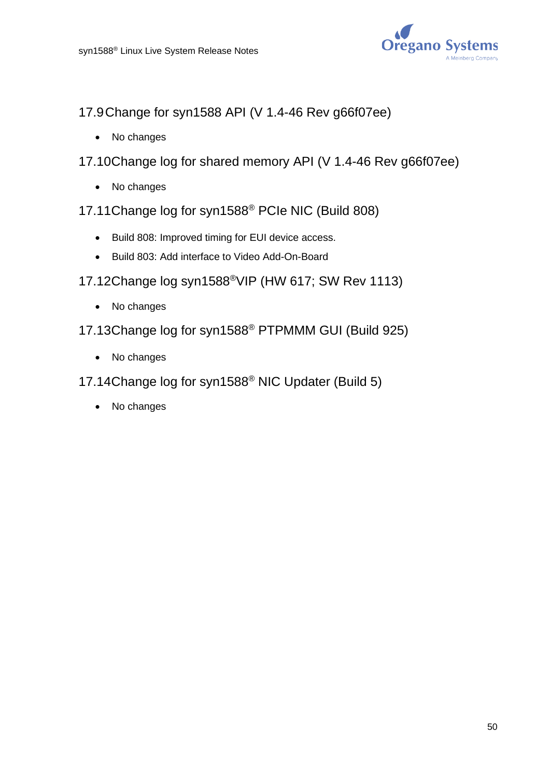

- 17.9Change for syn1588 API (V 1.4-46 Rev g66f07ee)
	- No changes
- 17.10Change log for shared memory API (V 1.4-46 Rev g66f07ee)
	- No changes
- 17.11Change log for syn1588® PCIe NIC (Build 808)
	- Build 808: Improved timing for EUI device access.
	- Build 803: Add interface to Video Add-On-Board
- 17.12Change log syn1588®VIP (HW 617; SW Rev 1113)
	- No changes
- 17.13Change log for syn1588® PTPMMM GUI (Build 925)
	- No changes
- 17.14Change log for syn1588® NIC Updater (Build 5)
	- No changes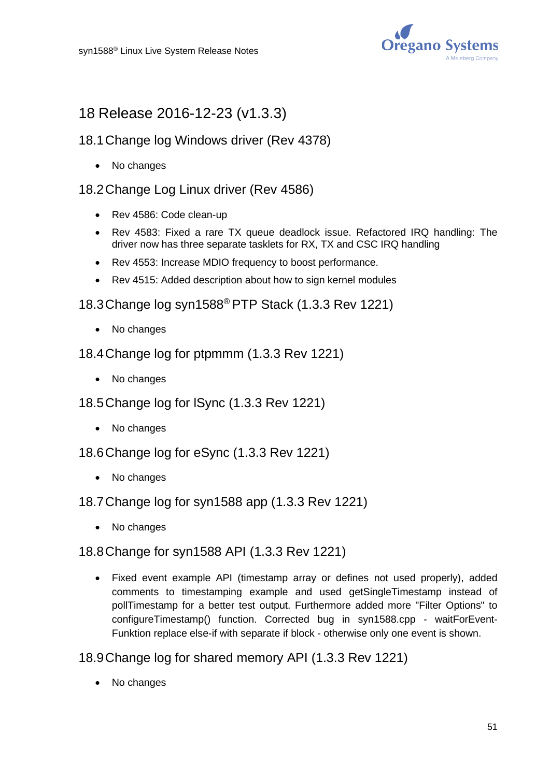

# 18 Release 2016-12-23 (v1.3.3)

## 18.1Change log Windows driver (Rev 4378)

• No changes

### 18.2Change Log Linux driver (Rev 4586)

- Rev 4586: Code clean-up
- Rev 4583: Fixed a rare TX queue deadlock issue. Refactored IRQ handling: The driver now has three separate tasklets for RX, TX and CSC IRQ handling
- Rev 4553: Increase MDIO frequency to boost performance.
- Rev 4515: Added description about how to sign kernel modules

18.3Change log syn1588® PTP Stack (1.3.3 Rev 1221)

- No changes
- 18.4Change log for ptpmmm (1.3.3 Rev 1221)
	- No changes
- 18.5Change log for lSync (1.3.3 Rev 1221)
	- No changes
- 18.6Change log for eSync (1.3.3 Rev 1221)
	- No changes
- 18.7Change log for syn1588 app (1.3.3 Rev 1221)
	- No changes

#### 18.8Change for syn1588 API (1.3.3 Rev 1221)

• Fixed event example API (timestamp array or defines not used properly), added comments to timestamping example and used getSingleTimestamp instead of pollTimestamp for a better test output. Furthermore added more "Filter Options" to configureTimestamp() function. Corrected bug in syn1588.cpp - waitForEvent-Funktion replace else-if with separate if block - otherwise only one event is shown.

18.9Change log for shared memory API (1.3.3 Rev 1221)

• No changes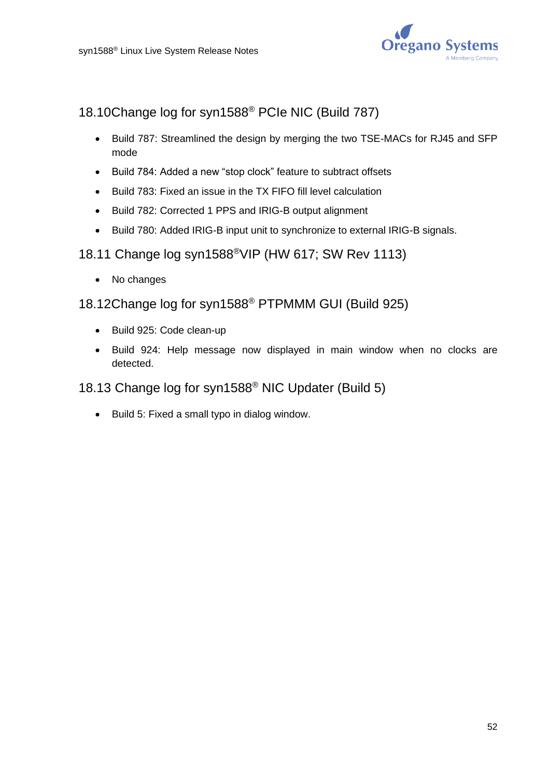

# 18.10Change log for syn1588® PCIe NIC (Build 787)

- Build 787: Streamlined the design by merging the two TSE-MACs for RJ45 and SFP mode
- Build 784: Added a new "stop clock" feature to subtract offsets
- Build 783: Fixed an issue in the TX FIFO fill level calculation
- Build 782: Corrected 1 PPS and IRIG-B output alignment
- Build 780: Added IRIG-B input unit to synchronize to external IRIG-B signals.

## 18.11 Change log syn1588®VIP (HW 617; SW Rev 1113)

• No changes

# 18.12Change log for syn1588® PTPMMM GUI (Build 925)

- Build 925: Code clean-up
- Build 924: Help message now displayed in main window when no clocks are detected.

## 18.13 Change log for syn1588® NIC Updater (Build 5)

• Build 5: Fixed a small typo in dialog window.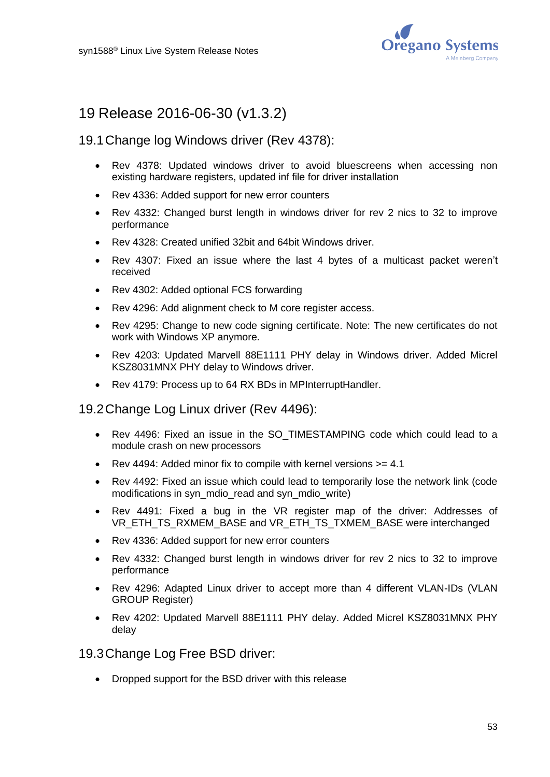

# 19 Release 2016-06-30 (v1.3.2)

### 19.1Change log Windows driver (Rev 4378):

- Rev 4378: Updated windows driver to avoid bluescreens when accessing non existing hardware registers, updated inf file for driver installation
- Rev 4336: Added support for new error counters
- Rev 4332: Changed burst length in windows driver for rev 2 nics to 32 to improve performance
- Rev 4328: Created unified 32bit and 64bit Windows driver.
- Rev 4307: Fixed an issue where the last 4 bytes of a multicast packet weren't received
- Rev 4302: Added optional FCS forwarding
- Rev 4296: Add alignment check to M core register access.
- Rev 4295: Change to new code signing certificate. Note: The new certificates do not work with Windows XP anymore.
- Rev 4203: Updated Marvell 88E1111 PHY delay in Windows driver. Added Micrel KSZ8031MNX PHY delay to Windows driver.
- Rev 4179: Process up to 64 RX BDs in MPInterruptHandler.

#### 19.2Change Log Linux driver (Rev 4496):

- Rev 4496: Fixed an issue in the SO\_TIMESTAMPING code which could lead to a module crash on new processors
- Rev 4494: Added minor fix to compile with kernel versions >= 4.1
- Rev 4492: Fixed an issue which could lead to temporarily lose the network link (code modifications in syn\_mdio\_read and syn\_mdio\_write)
- Rev 4491: Fixed a bug in the VR register map of the driver: Addresses of VR\_ETH\_TS\_RXMEM\_BASE and VR\_ETH\_TS\_TXMEM\_BASE were interchanged
- Rev 4336: Added support for new error counters
- Rev 4332: Changed burst length in windows driver for rev 2 nics to 32 to improve performance
- Rev 4296: Adapted Linux driver to accept more than 4 different VLAN-IDs (VLAN GROUP Register)
- Rev 4202: Updated Marvell 88E1111 PHY delay. Added Micrel KSZ8031MNX PHY delay

19.3Change Log Free BSD driver:

• Dropped support for the BSD driver with this release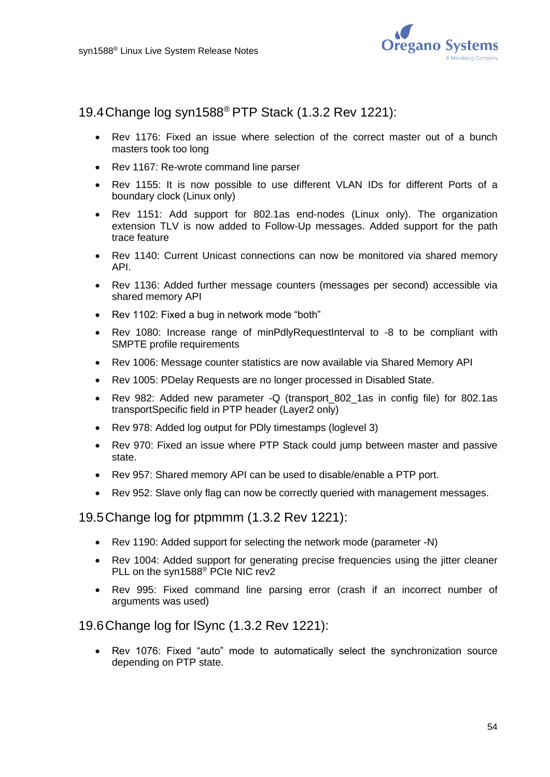

19.4Change log syn1588® PTP Stack (1.3.2 Rev 1221):

- Rev 1176: Fixed an issue where selection of the correct master out of a bunch masters took too long
- Rev 1167: Re-wrote command line parser
- Rev 1155: It is now possible to use different VLAN IDs for different Ports of a boundary clock (Linux only)
- Rev 1151: Add support for 802.1as end-nodes (Linux only). The organization extension TLV is now added to Follow-Up messages. Added support for the path trace feature
- Rev 1140: Current Unicast connections can now be monitored via shared memory API.
- Rev 1136: Added further message counters (messages per second) accessible via shared memory API
- Rev 1102: Fixed a bug in network mode "both"
- Rev 1080: Increase range of minPdlyRequestInterval to -8 to be compliant with SMPTE profile requirements
- Rev 1006: Message counter statistics are now available via Shared Memory API
- Rev 1005: PDelay Requests are no longer processed in Disabled State.
- Rev 982: Added new parameter -Q (transport 802 1as in config file) for 802.1as transportSpecific field in PTP header (Layer2 only)
- Rev 978: Added log output for PDly timestamps (loglevel 3)
- Rev 970: Fixed an issue where PTP Stack could jump between master and passive state.
- Rev 957: Shared memory API can be used to disable/enable a PTP port.
- Rev 952: Slave only flag can now be correctly queried with management messages.

19.5Change log for ptpmmm (1.3.2 Rev 1221):

- Rev 1190: Added support for selecting the network mode (parameter -N)
- Rev 1004: Added support for generating precise frequencies using the jitter cleaner PLL on the syn1588<sup>®</sup> PCIe NIC rev2
- Rev 995: Fixed command line parsing error (crash if an incorrect number of arguments was used)

#### 19.6Change log for lSync (1.3.2 Rev 1221):

• Rev 1076: Fixed "auto" mode to automatically select the synchronization source depending on PTP state.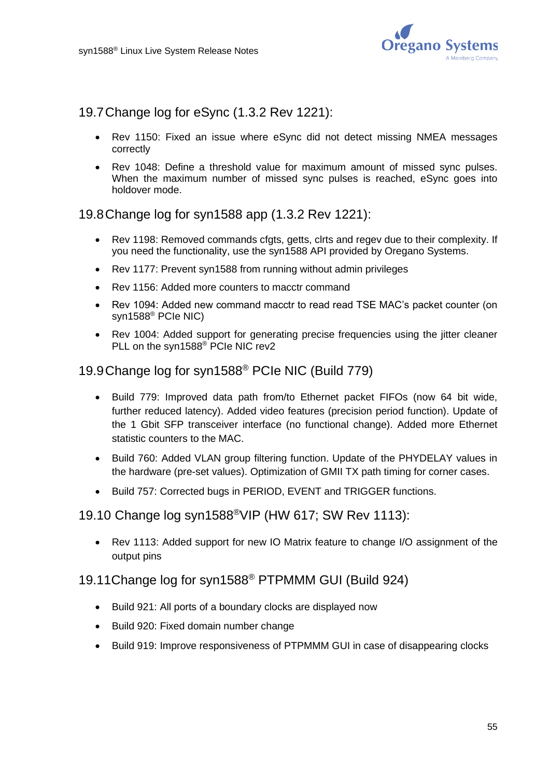

19.7Change log for eSync (1.3.2 Rev 1221):

- Rev 1150: Fixed an issue where eSync did not detect missing NMEA messages correctly
- Rev 1048: Define a threshold value for maximum amount of missed sync pulses. When the maximum number of missed sync pulses is reached, eSync goes into holdover mode.

### 19.8Change log for syn1588 app (1.3.2 Rev 1221):

- Rev 1198: Removed commands cfats, getts, clrts and regev due to their complexity. If you need the functionality, use the syn1588 API provided by Oregano Systems.
- Rev 1177: Prevent syn1588 from running without admin privileges
- Rev 1156: Added more counters to macctr command
- Rev 1094: Added new command macctr to read read TSE MAC's packet counter (on syn1588® PCIe NIC)
- Rev 1004: Added support for generating precise frequencies using the jitter cleaner PLL on the syn1588® PCIe NIC rev2

# 19.9Change log for syn1588® PCIe NIC (Build 779)

- Build 779: Improved data path from/to Ethernet packet FIFOs (now 64 bit wide, further reduced latency). Added video features (precision period function). Update of the 1 Gbit SFP transceiver interface (no functional change). Added more Ethernet statistic counters to the MAC.
- Build 760: Added VLAN group filtering function. Update of the PHYDELAY values in the hardware (pre-set values). Optimization of GMII TX path timing for corner cases.
- Build 757: Corrected bugs in PERIOD, EVENT and TRIGGER functions.

### 19.10 Change log syn1588®VIP (HW 617; SW Rev 1113):

• Rev 1113: Added support for new IO Matrix feature to change I/O assignment of the output pins

#### 19.11Change log for syn1588® PTPMMM GUI (Build 924)

- Build 921: All ports of a boundary clocks are displayed now
- Build 920: Fixed domain number change
- Build 919: Improve responsiveness of PTPMMM GUI in case of disappearing clocks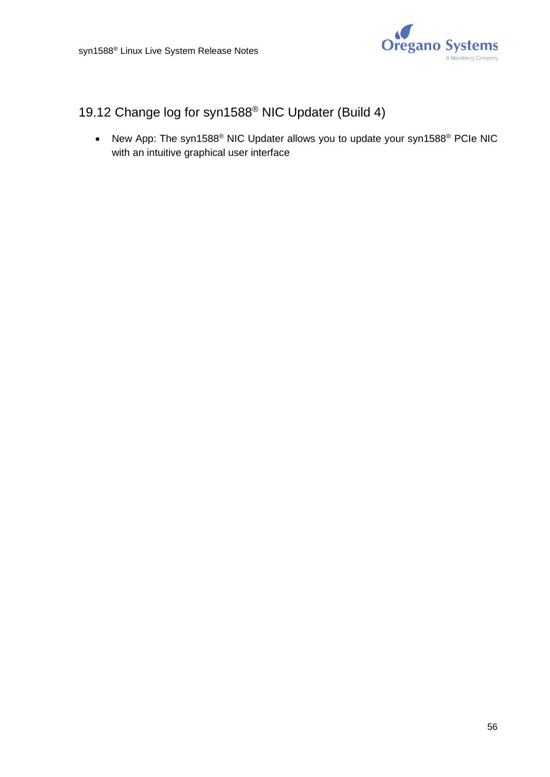

# 19.12 Change log for syn1588® NIC Updater (Build 4)

• New App: The syn1588® NIC Updater allows you to update your syn1588® PCIe NIC with an intuitive graphical user interface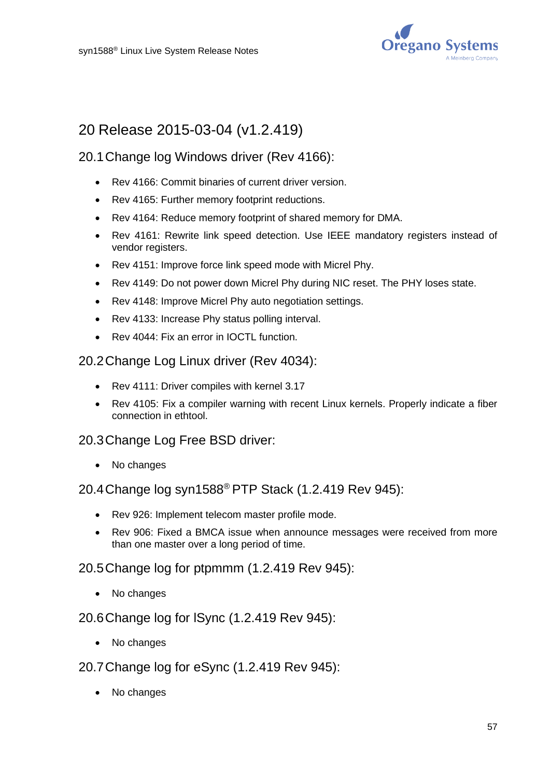

# 20 Release 2015-03-04 (v1.2.419)

## 20.1Change log Windows driver (Rev 4166):

- Rev 4166: Commit binaries of current driver version.
- Rev 4165: Further memory footprint reductions.
- Rev 4164: Reduce memory footprint of shared memory for DMA.
- Rev 4161: Rewrite link speed detection. Use IEEE mandatory registers instead of vendor registers.
- Rev 4151: Improve force link speed mode with Micrel Phy.
- Rev 4149: Do not power down Micrel Phy during NIC reset. The PHY loses state.
- Rev 4148: Improve Micrel Phy auto negotiation settings.
- Rev 4133: Increase Phy status polling interval.
- Rev 4044: Fix an error in IOCTL function.

### 20.2Change Log Linux driver (Rev 4034):

- Rev 4111: Driver compiles with kernel 3.17
- Rev 4105: Fix a compiler warning with recent Linux kernels. Properly indicate a fiber connection in ethtool.

### 20.3Change Log Free BSD driver:

• No changes

### 20.4Change log syn1588® PTP Stack (1.2.419 Rev 945):

- Rev 926: Implement telecom master profile mode.
- Rev 906: Fixed a BMCA issue when announce messages were received from more than one master over a long period of time.

#### 20.5Change log for ptpmmm (1.2.419 Rev 945):

• No changes

#### 20.6Change log for lSync (1.2.419 Rev 945):

- No changes
- 20.7Change log for eSync (1.2.419 Rev 945):
	- No changes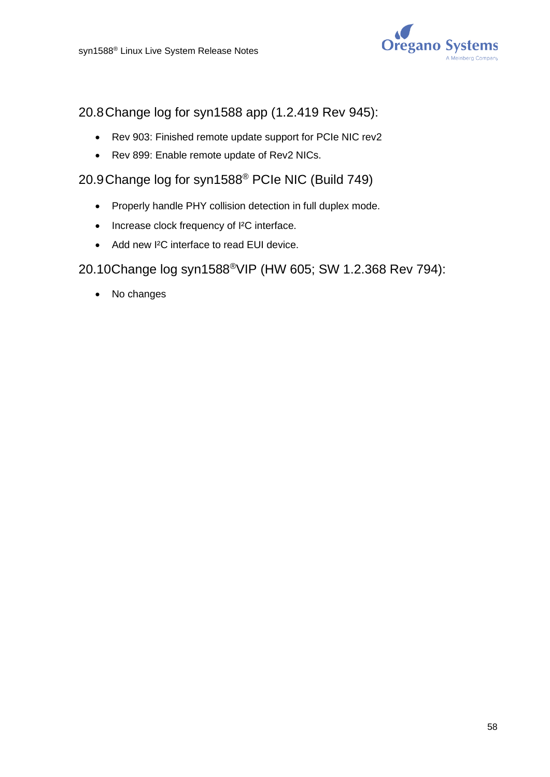

# 20.8Change log for syn1588 app (1.2.419 Rev 945):

- Rev 903: Finished remote update support for PCIe NIC rev2
- Rev 899: Enable remote update of Rev2 NICs.

# 20.9Change log for syn1588® PCIe NIC (Build 749)

- Properly handle PHY collision detection in full duplex mode.
- Increase clock frequency of I²C interface.
- Add new I²C interface to read EUI device.

### 20.10Change log syn1588®VIP (HW 605; SW 1.2.368 Rev 794):

• No changes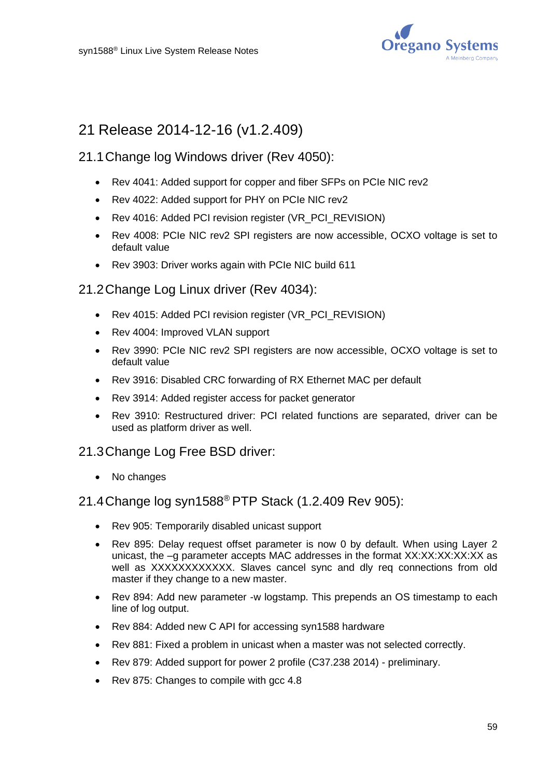

# 21 Release 2014-12-16 (v1.2.409)

### 21.1Change log Windows driver (Rev 4050):

- Rev 4041: Added support for copper and fiber SFPs on PCIe NIC rev2
- Rev 4022: Added support for PHY on PCIe NIC rev2
- Rev 4016: Added PCI revision register (VR\_PCI\_REVISION)
- Rev 4008: PCIe NIC rev2 SPI registers are now accessible, OCXO voltage is set to default value
- Rev 3903: Driver works again with PCIe NIC build 611

### 21.2Change Log Linux driver (Rev 4034):

- Rev 4015: Added PCI revision register (VR\_PCI\_REVISION)
- Rev 4004: Improved VLAN support
- Rev 3990: PCIe NIC rev2 SPI registers are now accessible, OCXO voltage is set to default value
- Rev 3916: Disabled CRC forwarding of RX Ethernet MAC per default
- Rev 3914: Added register access for packet generator
- Rev 3910: Restructured driver: PCI related functions are separated, driver can be used as platform driver as well.

#### 21.3Change Log Free BSD driver:

• No changes

## 21.4Change log syn1588® PTP Stack (1.2.409 Rev 905):

- Rev 905: Temporarily disabled unicast support
- Rev 895: Delay request offset parameter is now 0 by default. When using Layer 2 unicast, the –g parameter accepts MAC addresses in the format XX:XX:XX:XX:XX as well as XXXXXXXXXXXX. Slaves cancel sync and dly req connections from old master if they change to a new master.
- Rev 894: Add new parameter -w logstamp. This prepends an OS timestamp to each line of log output.
- Rev 884: Added new C API for accessing syn1588 hardware
- Rev 881: Fixed a problem in unicast when a master was not selected correctly.
- Rev 879: Added support for power 2 profile (C37.238 2014) preliminary.
- Rev 875: Changes to compile with gcc 4.8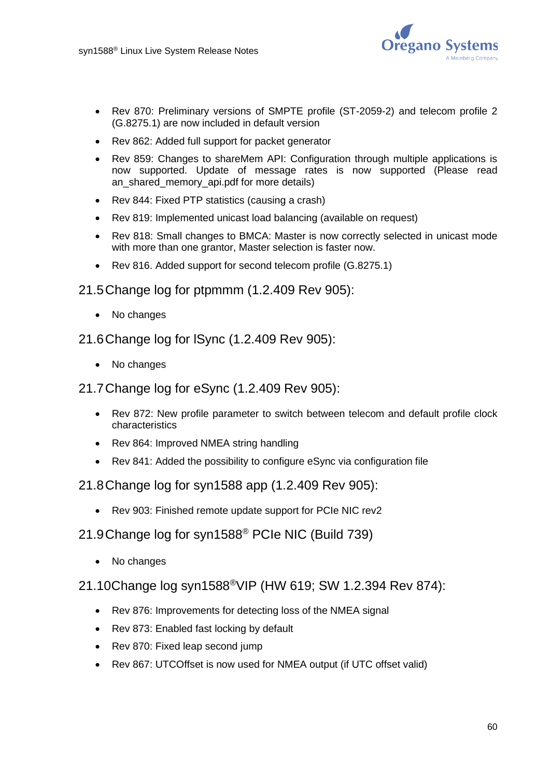

- Rev 870: Preliminary versions of SMPTE profile (ST-2059-2) and telecom profile 2 (G.8275.1) are now included in default version
- Rev 862: Added full support for packet generator
- Rev 859: Changes to shareMem API: Configuration through multiple applications is now supported. Update of message rates is now supported (Please read an shared memory api.pdf for more details)
- Rev 844: Fixed PTP statistics (causing a crash)
- Rev 819: Implemented unicast load balancing (available on request)
- Rev 818: Small changes to BMCA: Master is now correctly selected in unicast mode with more than one grantor, Master selection is faster now.
- Rev 816. Added support for second telecom profile (G.8275.1)
- 21.5Change log for ptpmmm (1.2.409 Rev 905):
	- No changes
- 21.6Change log for lSync (1.2.409 Rev 905):
	- No changes
- 21.7Change log for eSync (1.2.409 Rev 905):
	- Rev 872: New profile parameter to switch between telecom and default profile clock characteristics
	- Rev 864: Improved NMEA string handling
	- Rev 841: Added the possibility to configure eSync via configuration file
- 21.8Change log for syn1588 app (1.2.409 Rev 905):
	- Rev 903: Finished remote update support for PCIe NIC rev2
- 21.9Change log for syn1588® PCIe NIC (Build 739)
	- No changes
- 21.10Change log syn1588®VIP (HW 619; SW 1.2.394 Rev 874):
	- Rev 876: Improvements for detecting loss of the NMEA signal
	- Rev 873: Enabled fast locking by default
	- Rev 870: Fixed leap second jump
	- Rev 867: UTCOffset is now used for NMEA output (if UTC offset valid)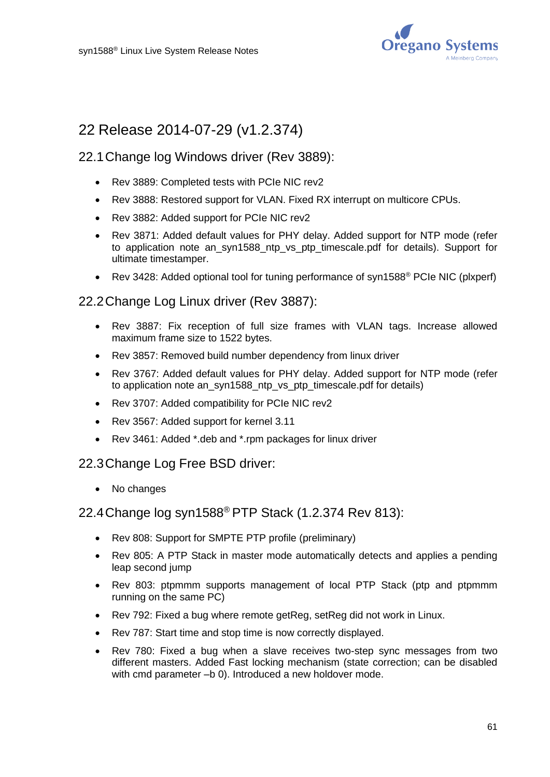

# 22 Release 2014-07-29 (v1.2.374)

### 22.1Change log Windows driver (Rev 3889):

- Rev 3889: Completed tests with PCIe NIC rev2
- Rev 3888: Restored support for VLAN. Fixed RX interrupt on multicore CPUs.
- Rev 3882: Added support for PCIe NIC rev2
- Rev 3871: Added default values for PHY delay. Added support for NTP mode (refer to application note an syn1588 ntp vs ptp timescale.pdf for details). Support for ultimate timestamper.
- Rev 3428: Added optional tool for tuning performance of syn1588® PCIe NIC (plxperf)

#### 22.2Change Log Linux driver (Rev 3887):

- Rev 3887: Fix reception of full size frames with VLAN tags. Increase allowed maximum frame size to 1522 bytes.
- Rev 3857: Removed build number dependency from linux driver
- Rev 3767: Added default values for PHY delay. Added support for NTP mode (refer to application note an\_syn1588\_ntp\_vs\_ptp\_timescale.pdf for details)
- Rev 3707: Added compatibility for PCIe NIC rev2
- Rev 3567: Added support for kernel 3.11
- Rev 3461: Added \*.deb and \*.rpm packages for linux driver

#### 22.3Change Log Free BSD driver:

• No changes

#### 22.4Change log syn1588® PTP Stack (1.2.374 Rev 813):

- Rev 808: Support for SMPTE PTP profile (preliminary)
- Rev 805: A PTP Stack in master mode automatically detects and applies a pending leap second jump
- Rev 803: ptpmmm supports management of local PTP Stack (ptp and ptpmmm running on the same PC)
- Rev 792: Fixed a bug where remote getReg, setReg did not work in Linux.
- Rev 787: Start time and stop time is now correctly displayed.
- Rev 780: Fixed a bug when a slave receives two-step sync messages from two different masters. Added Fast locking mechanism (state correction; can be disabled with cmd parameter –b 0). Introduced a new holdover mode.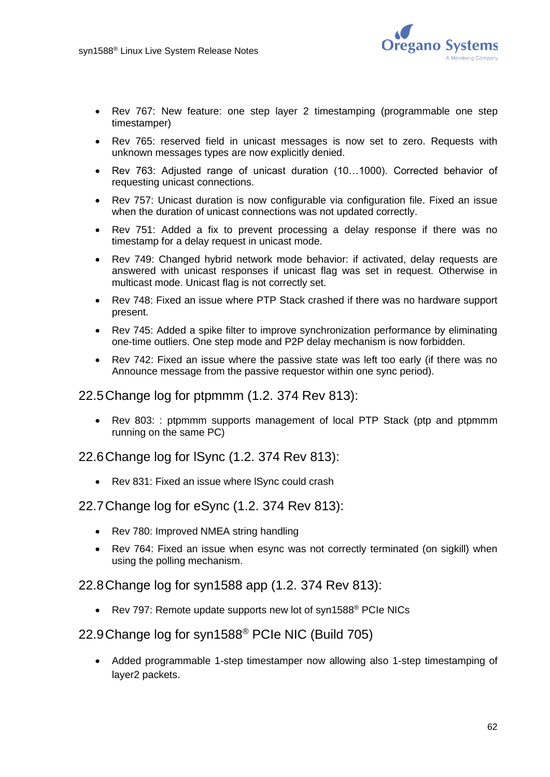

- Rev 767: New feature: one step layer 2 timestamping (programmable one step timestamper)
- Rev 765: reserved field in unicast messages is now set to zero. Requests with unknown messages types are now explicitly denied.
- Rev 763: Adjusted range of unicast duration (10…1000). Corrected behavior of requesting unicast connections.
- Rev 757: Unicast duration is now configurable via configuration file. Fixed an issue when the duration of unicast connections was not updated correctly.
- Rev 751: Added a fix to prevent processing a delay response if there was no timestamp for a delay request in unicast mode.
- Rev 749: Changed hybrid network mode behavior: if activated, delay requests are answered with unicast responses if unicast flag was set in request. Otherwise in multicast mode. Unicast flag is not correctly set.
- Rev 748: Fixed an issue where PTP Stack crashed if there was no hardware support present.
- Rev 745: Added a spike filter to improve synchronization performance by eliminating one-time outliers. One step mode and P2P delay mechanism is now forbidden.
- Rev 742: Fixed an issue where the passive state was left too early (if there was no Announce message from the passive requestor within one sync period).

#### 22.5Change log for ptpmmm (1.2. 374 Rev 813):

• Rev 803: : ptpmmm supports management of local PTP Stack (ptp and ptpmmm running on the same PC)

22.6Change log for lSync (1.2. 374 Rev 813):

• Rev 831: Fixed an issue where ISvnc could crash

#### 22.7Change log for eSync (1.2. 374 Rev 813):

- Rev 780: Improved NMEA string handling
- Rev 764: Fixed an issue when esync was not correctly terminated (on sigkill) when using the polling mechanism.

22.8Change log for syn1588 app (1.2. 374 Rev 813):

• Rev 797: Remote update supports new lot of syn1588<sup>®</sup> PCIe NICs

### 22.9Change log for syn1588® PCIe NIC (Build 705)

• Added programmable 1-step timestamper now allowing also 1-step timestamping of layer2 packets.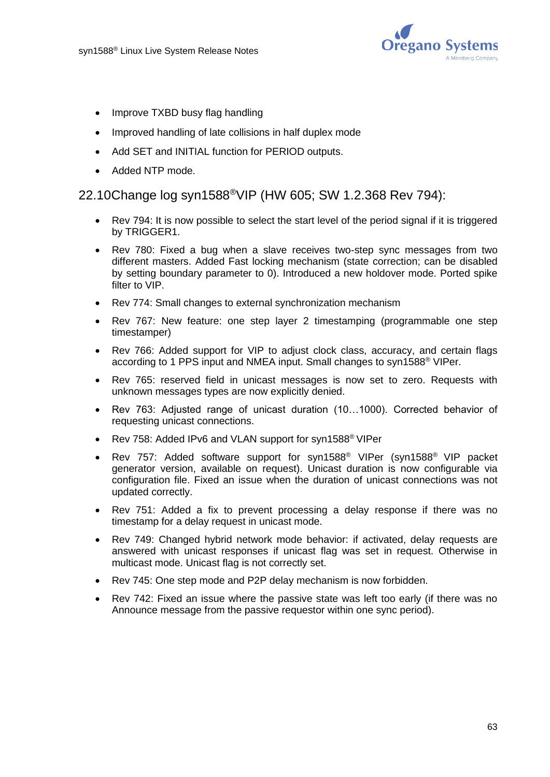

- Improve TXBD busy flag handling
- Improved handling of late collisions in half duplex mode
- Add SET and INITIAL function for PERIOD outputs.
- Added NTP mode.

### 22.10Change log syn1588®VIP (HW 605; SW 1.2.368 Rev 794):

- Rev 794: It is now possible to select the start level of the period signal if it is triggered by TRIGGER1.
- Rev 780: Fixed a bug when a slave receives two-step sync messages from two different masters. Added Fast locking mechanism (state correction; can be disabled by setting boundary parameter to 0). Introduced a new holdover mode. Ported spike filter to VIP.
- Rev 774: Small changes to external synchronization mechanism
- Rev 767: New feature: one step layer 2 timestamping (programmable one step timestamper)
- Rev 766: Added support for VIP to adjust clock class, accuracy, and certain flags according to 1 PPS input and NMEA input. Small changes to syn1588® VIPer.
- Rev 765: reserved field in unicast messages is now set to zero. Requests with unknown messages types are now explicitly denied.
- Rev 763: Adjusted range of unicast duration (10…1000). Corrected behavior of requesting unicast connections.
- Rev 758: Added IPv6 and VLAN support for syn1588<sup>®</sup> VIPer
- Rev 757: Added software support for syn1588® VIPer (syn1588® VIP packet generator version, available on request). Unicast duration is now configurable via configuration file. Fixed an issue when the duration of unicast connections was not updated correctly.
- Rev 751: Added a fix to prevent processing a delay response if there was no timestamp for a delay request in unicast mode.
- Rev 749: Changed hybrid network mode behavior: if activated, delay requests are answered with unicast responses if unicast flag was set in request. Otherwise in multicast mode. Unicast flag is not correctly set.
- Rev 745: One step mode and P2P delay mechanism is now forbidden.
- Rev 742: Fixed an issue where the passive state was left too early (if there was no Announce message from the passive requestor within one sync period).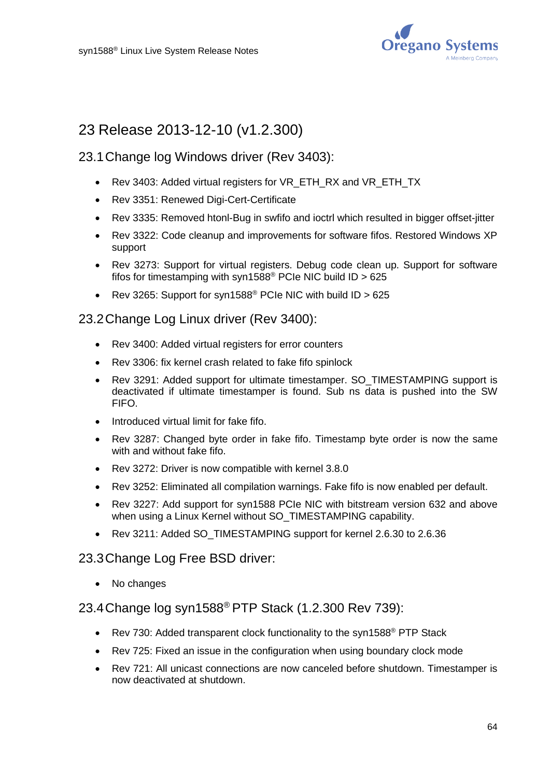

# 23 Release 2013-12-10 (v1.2.300)

### 23.1Change log Windows driver (Rev 3403):

- Rev 3403: Added virtual registers for VR\_ETH\_RX and VR\_ETH\_TX
- Rev 3351: Renewed Digi-Cert-Certificate
- Rev 3335: Removed htonl-Bug in swfifo and ioctrl which resulted in bigger offset-jitter
- Rev 3322: Code cleanup and improvements for software fifos. Restored Windows XP support
- Rev 3273: Support for virtual registers. Debug code clean up. Support for software fifos for timestamping with syn1588<sup>®</sup> PCIe NIC build ID > 625
- Rev 3265: Support for syn1588<sup>®</sup> PCIe NIC with build ID > 625

### 23.2Change Log Linux driver (Rev 3400):

- Rev 3400: Added virtual registers for error counters
- Rev 3306: fix kernel crash related to fake fifo spinlock
- Rev 3291: Added support for ultimate timestamper. SO\_TIMESTAMPING support is deactivated if ultimate timestamper is found. Sub ns data is pushed into the SW FIFO.
- Introduced virtual limit for fake fifo.
- Rev 3287: Changed byte order in fake fifo. Timestamp byte order is now the same with and without fake fifo.
- Rev 3272: Driver is now compatible with kernel 3.8.0
- Rev 3252: Eliminated all compilation warnings. Fake fifo is now enabled per default.
- Rev 3227: Add support for syn1588 PCIe NIC with bitstream version 632 and above when using a Linux Kernel without SO\_TIMESTAMPING capability.
- Rev 3211: Added SO\_TIMESTAMPING support for kernel 2.6.30 to 2.6.36

#### 23.3Change Log Free BSD driver:

No changes

# 23.4Change log syn1588® PTP Stack (1.2.300 Rev 739):

- Rev 730: Added transparent clock functionality to the syn1588<sup>®</sup> PTP Stack
- Rev 725: Fixed an issue in the configuration when using boundary clock mode
- Rev 721: All unicast connections are now canceled before shutdown. Timestamper is now deactivated at shutdown.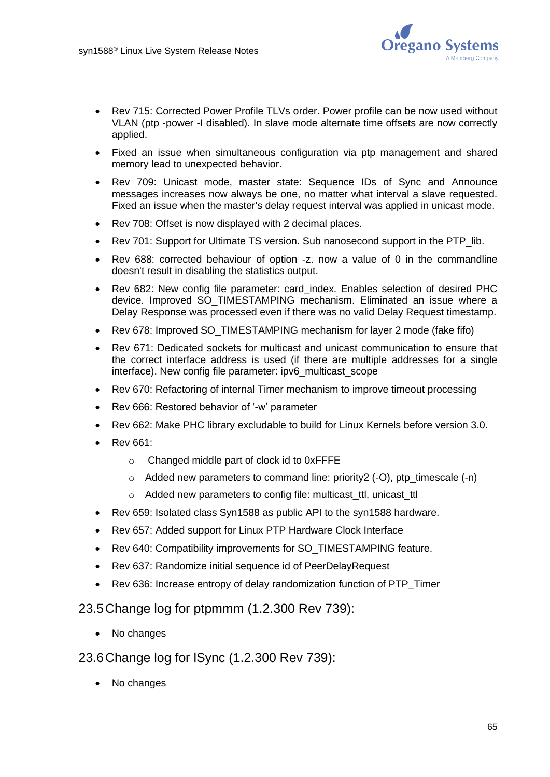

- Rev 715: Corrected Power Profile TLVs order. Power profile can be now used without VLAN (ptp -power -I disabled). In slave mode alternate time offsets are now correctly applied.
- Fixed an issue when simultaneous configuration via ptp management and shared memory lead to unexpected behavior.
- Rev 709: Unicast mode, master state: Sequence IDs of Sync and Announce messages increases now always be one, no matter what interval a slave requested. Fixed an issue when the master's delay request interval was applied in unicast mode.
- Rev 708: Offset is now displayed with 2 decimal places.
- Rev 701: Support for Ultimate TS version. Sub nanosecond support in the PTP lib.
- Rev 688: corrected behaviour of option -z. now a value of 0 in the commandline doesn't result in disabling the statistics output.
- Rev 682: New config file parameter: card\_index. Enables selection of desired PHC device. Improved SO\_TIMESTAMPING mechanism. Eliminated an issue where a Delay Response was processed even if there was no valid Delay Request timestamp.
- Rev 678: Improved SO\_TIMESTAMPING mechanism for layer 2 mode (fake fifo)
- Rev 671: Dedicated sockets for multicast and unicast communication to ensure that the correct interface address is used (if there are multiple addresses for a single interface). New config file parameter: ipv6\_multicast\_scope
- Rev 670: Refactoring of internal Timer mechanism to improve timeout processing
- Rev 666: Restored behavior of '-w' parameter
- Rev 662: Make PHC library excludable to build for Linux Kernels before version 3.0.
- Rev 661:
	- o Changed middle part of clock id to 0xFFFE
	- o Added new parameters to command line: priority2 (-O), ptp\_timescale (-n)
	- o Added new parameters to config file: multicast\_ttl, unicast\_ttl
- Rev 659: Isolated class Syn1588 as public API to the syn1588 hardware.
- Rev 657: Added support for Linux PTP Hardware Clock Interface
- Rev 640: Compatibility improvements for SO\_TIMESTAMPING feature.
- Rev 637: Randomize initial sequence id of PeerDelayRequest
- Rev 636: Increase entropy of delay randomization function of PTP\_Timer

#### 23.5Change log for ptpmmm (1.2.300 Rev 739):

- No changes
- 23.6Change log for lSync (1.2.300 Rev 739):
	- No changes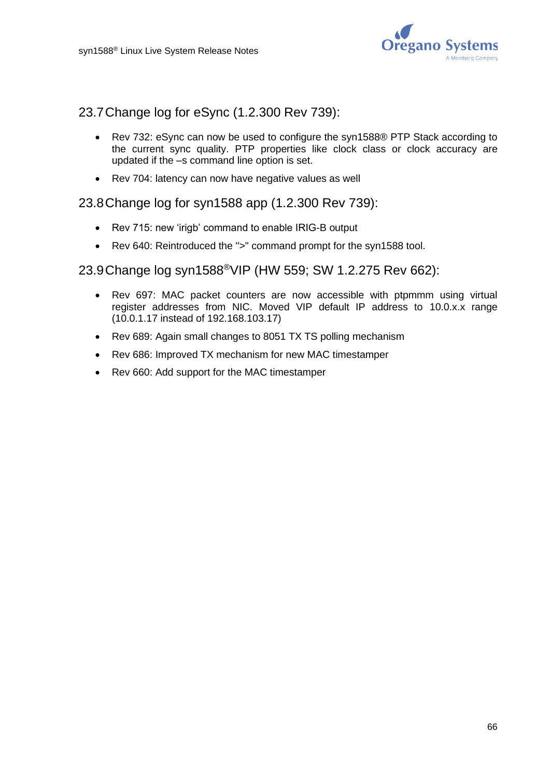

23.7Change log for eSync (1.2.300 Rev 739):

- Rev 732: eSync can now be used to configure the syn1588® PTP Stack according to the current sync quality. PTP properties like clock class or clock accuracy are updated if the –s command line option is set.
- Rev 704: latency can now have negative values as well

#### 23.8Change log for syn1588 app (1.2.300 Rev 739):

- Rev 715: new 'irigb' command to enable IRIG-B output
- Rev 640: Reintroduced the ">" command prompt for the syn1588 tool.

#### 23.9Change log syn1588®VIP (HW 559; SW 1.2.275 Rev 662):

- Rev 697: MAC packet counters are now accessible with ptpmmm using virtual register addresses from NIC. Moved VIP default IP address to 10.0.x.x range (10.0.1.17 instead of 192.168.103.17)
- Rev 689: Again small changes to 8051 TX TS polling mechanism
- Rev 686: Improved TX mechanism for new MAC timestamper
- Rev 660: Add support for the MAC timestamper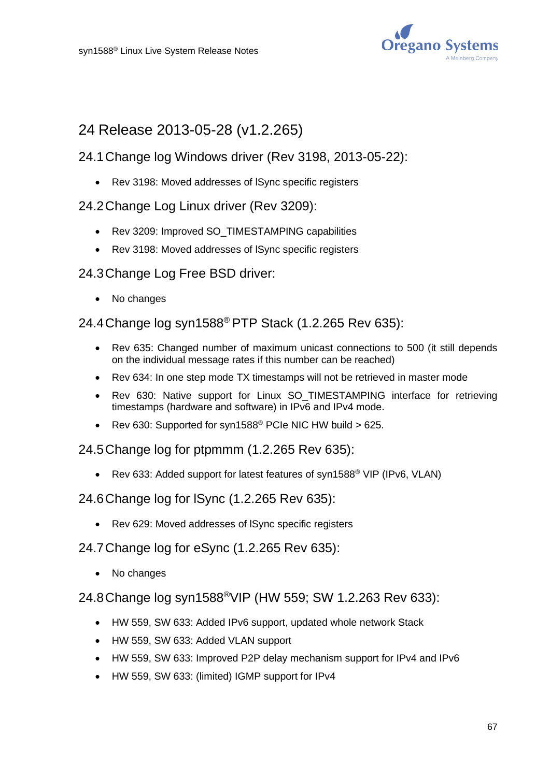

# 24 Release 2013-05-28 (v1.2.265)

## 24.1Change log Windows driver (Rev 3198, 2013-05-22):

- Rev 3198: Moved addresses of lSync specific registers
- 24.2Change Log Linux driver (Rev 3209):
	- Rev 3209: Improved SO\_TIMESTAMPING capabilities
	- Rev 3198: Moved addresses of lSync specific registers

### 24.3Change Log Free BSD driver:

• No changes

24.4Change log syn1588® PTP Stack (1.2.265 Rev 635):

- Rev 635: Changed number of maximum unicast connections to 500 (it still depends on the individual message rates if this number can be reached)
- Rev 634: In one step mode TX timestamps will not be retrieved in master mode
- Rev 630: Native support for Linux SO\_TIMESTAMPING interface for retrieving timestamps (hardware and software) in IPv6 and IPv4 mode.
- Rev 630: Supported for syn1588® PCIe NIC HW build > 625.

24.5Change log for ptpmmm (1.2.265 Rev 635):

• Rev 633: Added support for latest features of syn1588<sup>®</sup> VIP (IPv6, VLAN)

24.6Change log for lSync (1.2.265 Rev 635):

• Rev 629: Moved addresses of lSync specific registers

24.7Change log for eSync (1.2.265 Rev 635):

• No changes

24.8Change log syn1588®VIP (HW 559; SW 1.2.263 Rev 633):

- HW 559, SW 633: Added IPv6 support, updated whole network Stack
- HW 559, SW 633: Added VLAN support
- HW 559, SW 633: Improved P2P delay mechanism support for IPv4 and IPv6
- HW 559, SW 633: (limited) IGMP support for IPv4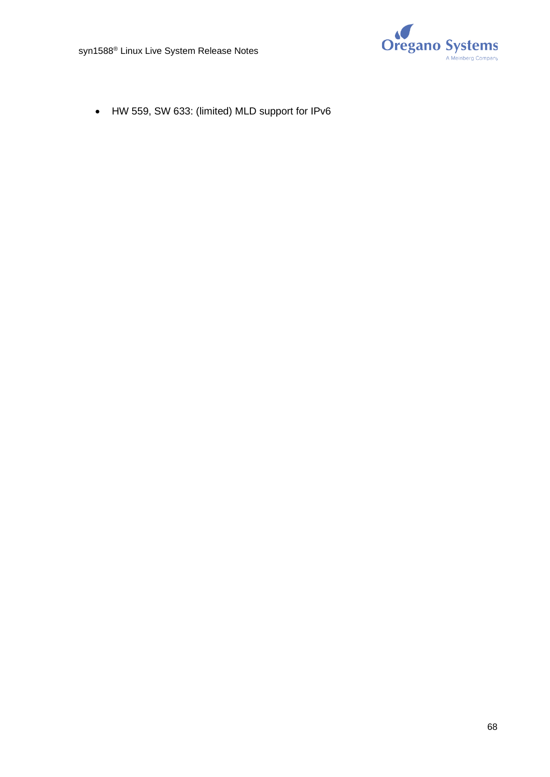

• HW 559, SW 633: (limited) MLD support for IPv6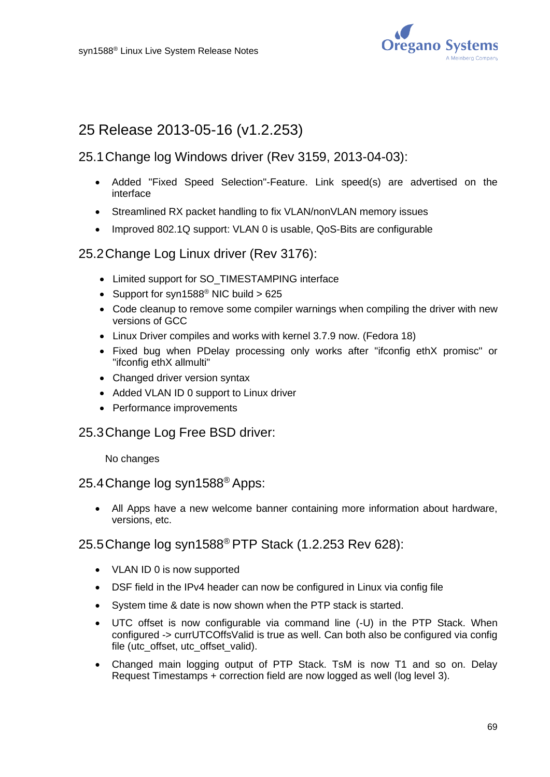

# 25 Release 2013-05-16 (v1.2.253)

## 25.1Change log Windows driver (Rev 3159, 2013-04-03):

- Added "Fixed Speed Selection"-Feature. Link speed(s) are advertised on the interface
- Streamlined RX packet handling to fix VLAN/nonVLAN memory issues
- Improved 802.1Q support: VLAN 0 is usable, QoS-Bits are configurable

### 25.2Change Log Linux driver (Rev 3176):

- Limited support for SO\_TIMESTAMPING interface
- Support for syn1588<sup>®</sup> NIC build  $> 625$
- Code cleanup to remove some compiler warnings when compiling the driver with new versions of GCC
- Linux Driver compiles and works with kernel 3.7.9 now. (Fedora 18)
- Fixed bug when PDelay processing only works after "ifconfig ethX promisc" or "ifconfig ethX allmulti"
- Changed driver version syntax
- Added VLAN ID 0 support to Linux driver
- Performance improvements
- 25.3Change Log Free BSD driver:

No changes

### 25.4Change log syn1588® Apps:

• All Apps have a new welcome banner containing more information about hardware, versions, etc.

#### 25.5Change log syn1588® PTP Stack (1.2.253 Rev 628):

- VLAN ID 0 is now supported
- DSF field in the IPv4 header can now be configured in Linux via config file
- System time & date is now shown when the PTP stack is started.
- UTC offset is now configurable via command line (-U) in the PTP Stack. When configured -> currUTCOffsValid is true as well. Can both also be configured via config file (utc\_offset, utc\_offset\_valid).
- Changed main logging output of PTP Stack. TsM is now T1 and so on. Delay Request Timestamps + correction field are now logged as well (log level 3).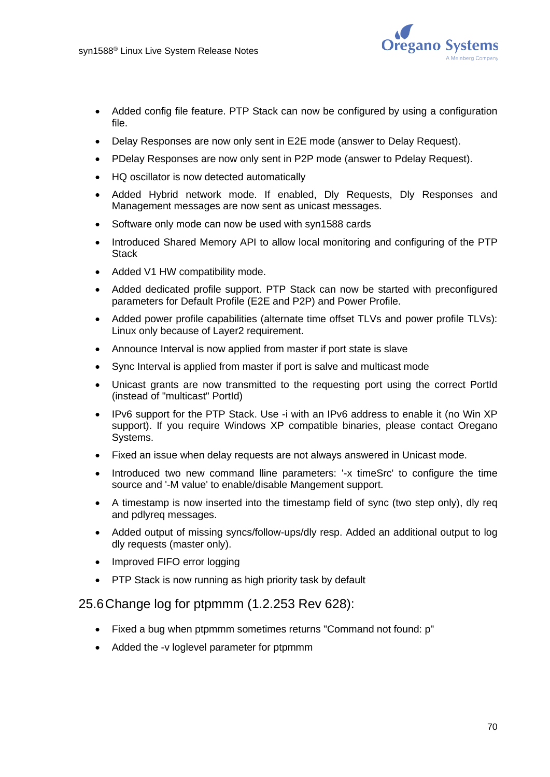

- Added config file feature. PTP Stack can now be configured by using a configuration file.
- Delay Responses are now only sent in E2E mode (answer to Delay Request).
- PDelay Responses are now only sent in P2P mode (answer to Pdelay Request).
- HQ oscillator is now detected automatically
- Added Hybrid network mode. If enabled, Dly Requests, Dly Responses and Management messages are now sent as unicast messages.
- Software only mode can now be used with syn1588 cards
- Introduced Shared Memory API to allow local monitoring and configuring of the PTP **Stack**
- Added V1 HW compatibility mode.
- Added dedicated profile support. PTP Stack can now be started with preconfigured parameters for Default Profile (E2E and P2P) and Power Profile.
- Added power profile capabilities (alternate time offset TLVs and power profile TLVs): Linux only because of Layer2 requirement.
- Announce Interval is now applied from master if port state is slave
- Sync Interval is applied from master if port is salve and multicast mode
- Unicast grants are now transmitted to the requesting port using the correct PortId (instead of "multicast" PortId)
- IPv6 support for the PTP Stack. Use -i with an IPv6 address to enable it (no Win XP support). If you require Windows XP compatible binaries, please contact Oregano Systems.
- Fixed an issue when delay requests are not always answered in Unicast mode.
- Introduced two new command lline parameters: '-x timeSrc' to configure the time source and '-M value' to enable/disable Mangement support.
- A timestamp is now inserted into the timestamp field of sync (two step only), dly req and pdlyreq messages.
- Added output of missing syncs/follow-ups/dly resp. Added an additional output to log dly requests (master only).
- Improved FIFO error logging
- PTP Stack is now running as high priority task by default

#### 25.6Change log for ptpmmm (1.2.253 Rev 628):

- Fixed a bug when ptpmmm sometimes returns "Command not found: p"
- Added the -v loglevel parameter for ptpmmm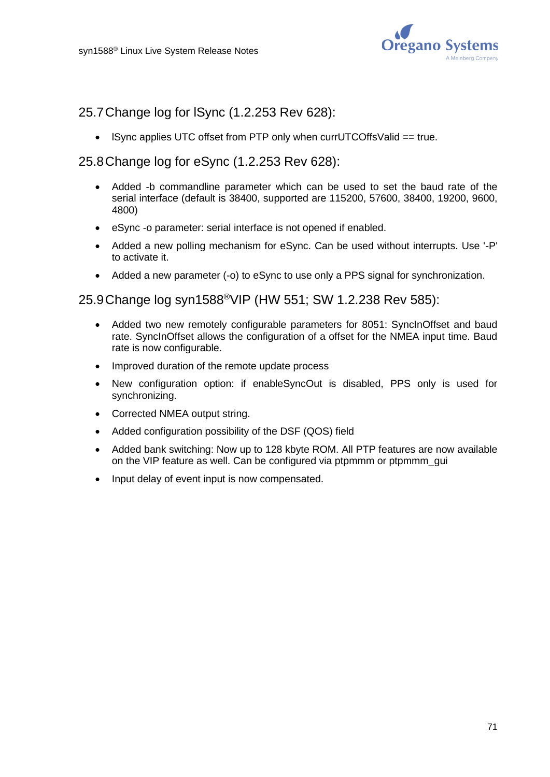

### 25.7Change log for lSync (1.2.253 Rev 628):

• lSync applies UTC offset from PTP only when currUTCOffsValid == true.

### 25.8Change log for eSync (1.2.253 Rev 628):

- Added -b commandline parameter which can be used to set the baud rate of the serial interface (default is 38400, supported are 115200, 57600, 38400, 19200, 9600, 4800)
- eSync -o parameter: serial interface is not opened if enabled.
- Added a new polling mechanism for eSync. Can be used without interrupts. Use '-P' to activate it.
- Added a new parameter (-o) to eSync to use only a PPS signal for synchronization.

### 25.9Change log syn1588 ®VIP (HW 551; SW 1.2.238 Rev 585):

- Added two new remotely configurable parameters for 8051: SyncInOffset and baud rate. SyncInOffset allows the configuration of a offset for the NMEA input time. Baud rate is now configurable.
- Improved duration of the remote update process
- New configuration option: if enableSyncOut is disabled, PPS only is used for synchronizing.
- Corrected NMEA output string.
- Added configuration possibility of the DSF (QOS) field
- Added bank switching: Now up to 128 kbyte ROM. All PTP features are now available on the VIP feature as well. Can be configured via ptpmmm or ptpmmm\_gui
- Input delay of event input is now compensated.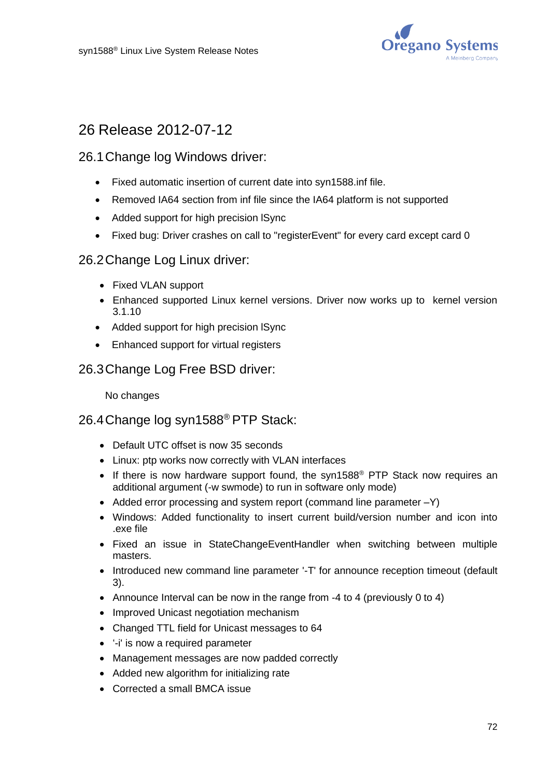

# 26 Release 2012-07-12

### 26.1Change log Windows driver:

- Fixed automatic insertion of current date into syn1588.inf file.
- Removed IA64 section from inf file since the IA64 platform is not supported
- Added support for high precision lSync
- Fixed bug: Driver crashes on call to "registerEvent" for every card except card 0

#### 26.2Change Log Linux driver:

- Fixed VLAN support
- Enhanced supported Linux kernel versions. Driver now works up to kernel version 3.1.10
- Added support for high precision lSync
- Enhanced support for virtual registers

#### 26.3Change Log Free BSD driver:

No changes

## 26.4Change log syn1588® PTP Stack:

- Default UTC offset is now 35 seconds
- Linux: ptp works now correctly with VLAN interfaces
- If there is now hardware support found, the syn1588<sup>®</sup> PTP Stack now requires an additional argument (-w swmode) to run in software only mode)
- Added error processing and system report (command line parameter -Y)
- Windows: Added functionality to insert current build/version number and icon into .exe file
- Fixed an issue in StateChangeEventHandler when switching between multiple masters.
- Introduced new command line parameter '-T' for announce reception timeout (default 3).
- Announce Interval can be now in the range from -4 to 4 (previously 0 to 4)
- Improved Unicast negotiation mechanism
- Changed TTL field for Unicast messages to 64
- '-i' is now a required parameter
- Management messages are now padded correctly
- Added new algorithm for initializing rate
- Corrected a small BMCA issue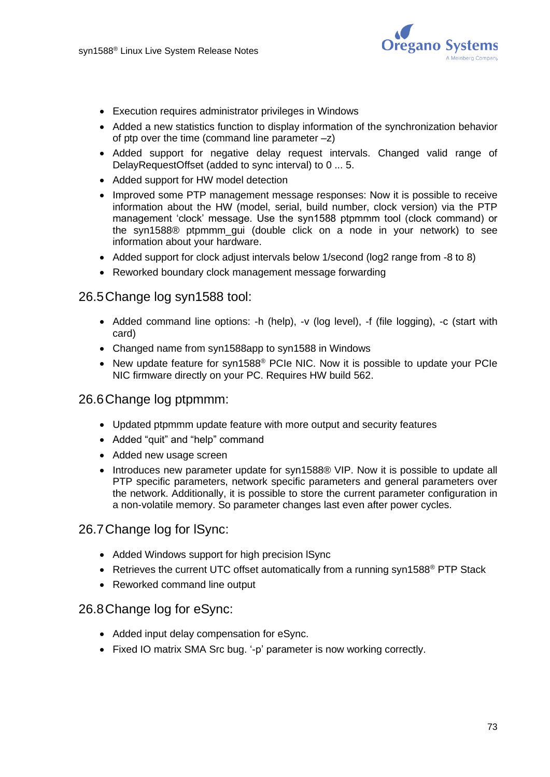

- Execution requires administrator privileges in Windows
- Added a new statistics function to display information of the synchronization behavior of ptp over the time (command line parameter  $-z$ )
- Added support for negative delay request intervals. Changed valid range of DelayRequestOffset (added to sync interval) to 0 ... 5.
- Added support for HW model detection
- Improved some PTP management message responses: Now it is possible to receive information about the HW (model, serial, build number, clock version) via the PTP management 'clock' message. Use the syn1588 ptpmmm tool (clock command) or the syn1588® ptpmmm\_gui (double click on a node in your network) to see information about your hardware.
- Added support for clock adjust intervals below 1/second (log2 range from -8 to 8)
- Reworked boundary clock management message forwarding

#### 26.5Change log syn1588 tool:

- Added command line options: -h (help), -v (log level), -f (file logging), -c (start with card)
- Changed name from syn1588app to syn1588 in Windows
- New update feature for syn1588<sup>®</sup> PCIe NIC. Now it is possible to update your PCIe NIC firmware directly on your PC. Requires HW build 562.

#### 26.6Change log ptpmmm:

- Updated ptpmmm update feature with more output and security features
- Added "quit" and "help" command
- Added new usage screen
- Introduces new parameter update for syn1588® VIP. Now it is possible to update all PTP specific parameters, network specific parameters and general parameters over the network. Additionally, it is possible to store the current parameter configuration in a non-volatile memory. So parameter changes last even after power cycles.

#### 26.7Change log for lSync:

- Added Windows support for high precision lSync
- Retrieves the current UTC offset automatically from a running syn1588<sup>®</sup> PTP Stack
- Reworked command line output

#### 26.8Change log for eSync:

- Added input delay compensation for eSync.
- Fixed IO matrix SMA Src bug. '-p' parameter is now working correctly.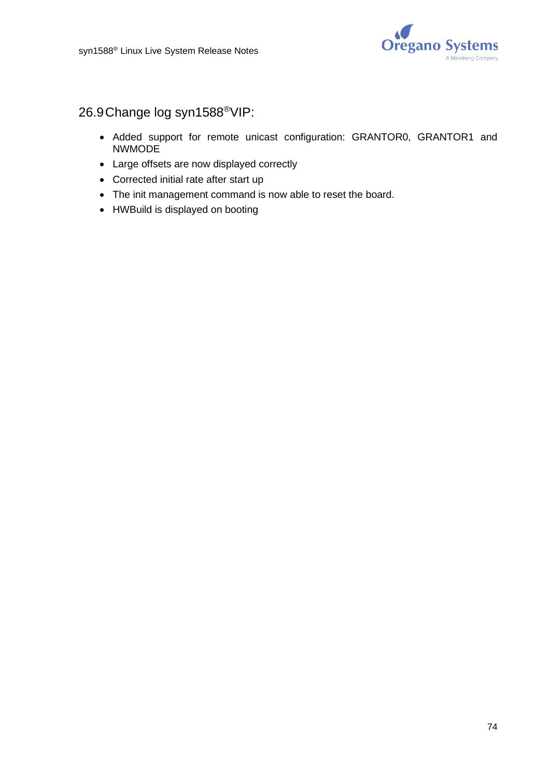

# 26.9Change log syn1588®VIP:

- Added support for remote unicast configuration: GRANTOR0, GRANTOR1 and NWMODE
- Large offsets are now displayed correctly
- Corrected initial rate after start up
- The init management command is now able to reset the board.
- HWBuild is displayed on booting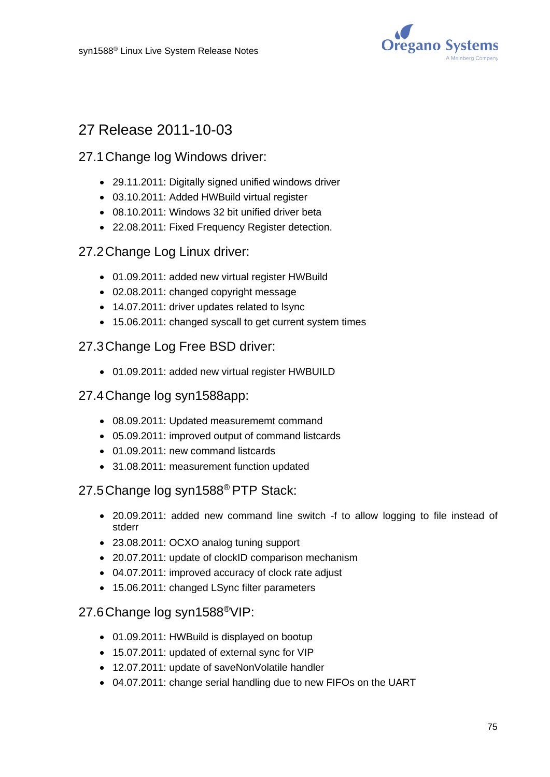

# 27 Release 2011-10-03

## 27.1Change log Windows driver:

- 29.11.2011: Digitally signed unified windows driver
- 03.10.2011: Added HWBuild virtual register
- 08.10.2011: Windows 32 bit unified driver beta
- 22.08.2011: Fixed Frequency Register detection.

### 27.2Change Log Linux driver:

- 01.09.2011: added new virtual register HWBuild
- 02.08.2011: changed copyright message
- 14.07.2011: driver updates related to lsync
- 15.06.2011: changed syscall to get current system times

### 27.3Change Log Free BSD driver:

• 01.09.2011: added new virtual register HWBUILD

### 27.4Change log syn1588app:

- 08.09.2011: Updated measurememt command
- 05.09.2011: improved output of command listcards
- 01.09.2011: new command listcards
- 31.08.2011: measurement function updated

### 27.5Change log syn1588® PTP Stack:

- 20.09.2011: added new command line switch -f to allow logging to file instead of stderr
- 23.08.2011: OCXO analog tuning support
- 20.07.2011: update of clockID comparison mechanism
- 04.07.2011: improved accuracy of clock rate adjust
- 15.06.2011: changed LSync filter parameters

## 27.6Change log syn1588®VIP:

- 01.09.2011: HWBuild is displayed on bootup
- 15.07.2011: updated of external sync for VIP
- 12.07.2011: update of saveNonVolatile handler
- 04.07.2011: change serial handling due to new FIFOs on the UART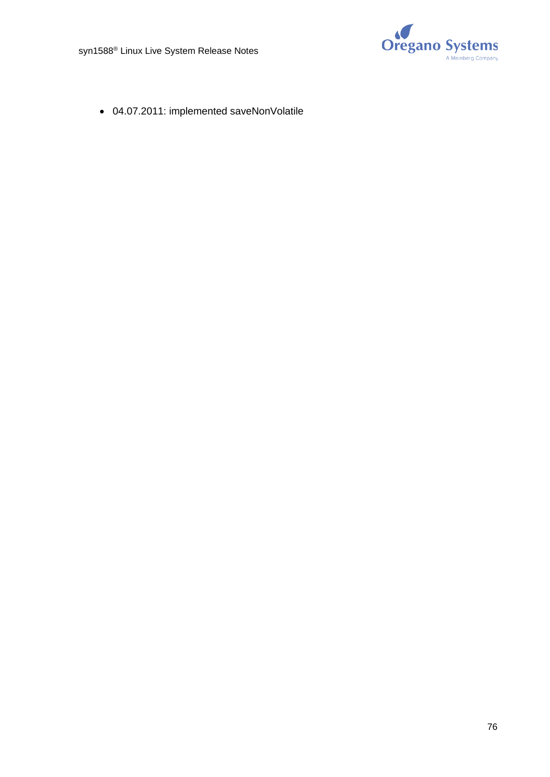

• 04.07.2011: implemented saveNonVolatile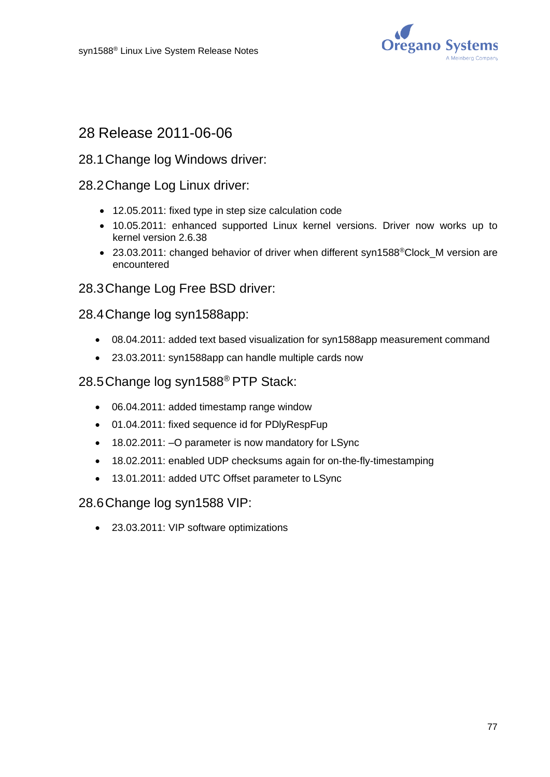

## 28 Release 2011-06-06

#### 28.1Change log Windows driver:

#### 28.2Change Log Linux driver:

- 12.05.2011: fixed type in step size calculation code
- 10.05.2011: enhanced supported Linux kernel versions. Driver now works up to kernel version 2.6.38
- 23.03.2011: changed behavior of driver when different syn1588<sup>®</sup>Clock M version are encountered

#### 28.3Change Log Free BSD driver:

#### 28.4Change log syn1588app:

- 08.04.2011: added text based visualization for syn1588app measurement command
- 23.03.2011: syn1588app can handle multiple cards now

#### 28.5Change log syn1588® PTP Stack:

- 06.04.2011: added timestamp range window
- 01.04.2011: fixed sequence id for PDlyRespFup
- 18.02.2011: –O parameter is now mandatory for LSync
- 18.02.2011: enabled UDP checksums again for on-the-fly-timestamping
- 13.01.2011: added UTC Offset parameter to LSync

#### 28.6Change log syn1588 VIP:

• 23.03.2011: VIP software optimizations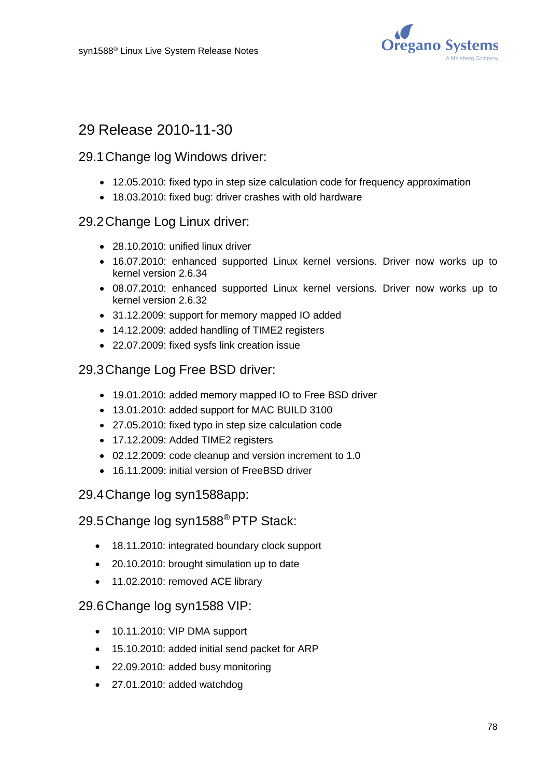

# 29 Release 2010-11-30

### 29.1Change log Windows driver:

- 12.05.2010: fixed typo in step size calculation code for frequency approximation
- 18.03.2010: fixed bug: driver crashes with old hardware

## 29.2Change Log Linux driver:

- 28.10.2010: unified linux driver
- 16.07.2010: enhanced supported Linux kernel versions. Driver now works up to kernel version 2.6.34
- 08.07.2010: enhanced supported Linux kernel versions. Driver now works up to kernel version 2.6.32
- 31.12.2009: support for memory mapped IO added
- 14.12.2009: added handling of TIME2 registers
- 22.07.2009: fixed sysfs link creation issue

## 29.3Change Log Free BSD driver:

- 19.01.2010: added memory mapped IO to Free BSD driver
- 13.01.2010: added support for MAC BUILD 3100
- 27.05.2010: fixed typo in step size calculation code
- 17.12.2009: Added TIME2 registers
- 02.12.2009: code cleanup and version increment to 1.0
- 16.11.2009: initial version of FreeBSD driver

## 29.4Change log syn1588app:

29.5Change log syn1588® PTP Stack:

- 18.11.2010: integrated boundary clock support
- 20.10.2010: brought simulation up to date
- 11.02.2010: removed ACE library

#### 29.6Change log syn1588 VIP:

- 10.11.2010: VIP DMA support
- 15.10.2010: added initial send packet for ARP
- 22.09.2010: added busy monitoring
- 27.01.2010: added watchdog